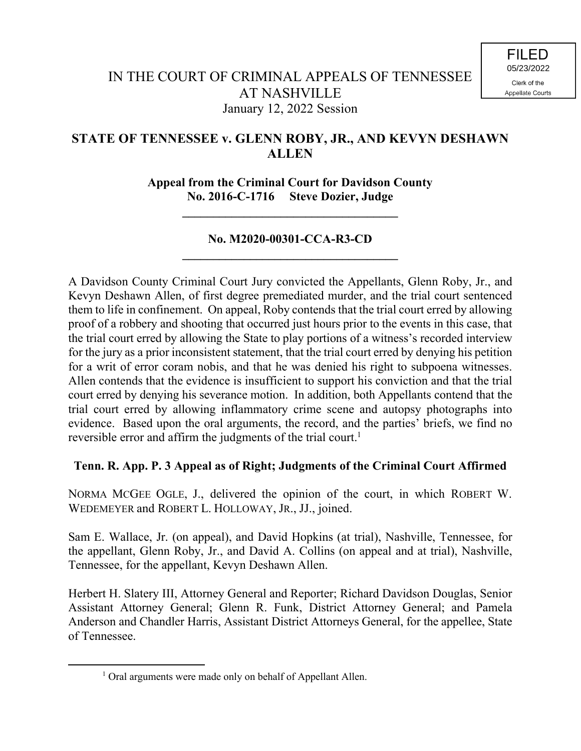# **STATE OF TENNESSEE v. GLENN ROBY, JR., AND KEVYN DESHAWN ALLEN**

**Appeal from the Criminal Court for Davidson County No. 2016-C-1716 Steve Dozier, Judge**

**\_\_\_\_\_\_\_\_\_\_\_\_\_\_\_\_\_\_\_\_\_\_\_\_\_\_\_\_\_\_\_\_\_\_\_**

# **No. M2020-00301-CCA-R3-CD \_\_\_\_\_\_\_\_\_\_\_\_\_\_\_\_\_\_\_\_\_\_\_\_\_\_\_\_\_\_\_\_\_\_\_**

A Davidson County Criminal Court Jury convicted the Appellants, Glenn Roby, Jr., and Kevyn Deshawn Allen, of first degree premediated murder, and the trial court sentenced them to life in confinement. On appeal, Roby contends that the trial court erred by allowing proof of a robbery and shooting that occurred just hours prior to the events in this case, that the trial court erred by allowing the State to play portions of a witness's recorded interview for the jury as a prior inconsistent statement, that the trial court erred by denying his petition for a writ of error coram nobis, and that he was denied his right to subpoena witnesses. Allen contends that the evidence is insufficient to support his conviction and that the trial court erred by denying his severance motion. In addition, both Appellants contend that the trial court erred by allowing inflammatory crime scene and autopsy photographs into evidence. Based upon the oral arguments, the record, and the parties' briefs, we find no reversible error and affirm the judgments of the trial court.<sup>1</sup>

# **Tenn. R. App. P. 3 Appeal as of Right; Judgments of the Criminal Court Affirmed**

NORMA MCGEE OGLE, J., delivered the opinion of the court, in which ROBERT W. WEDEMEYER and ROBERT L. HOLLOWAY, JR., JJ., joined.

Sam E. Wallace, Jr. (on appeal), and David Hopkins (at trial), Nashville, Tennessee, for the appellant, Glenn Roby, Jr., and David A. Collins (on appeal and at trial), Nashville, Tennessee, for the appellant, Kevyn Deshawn Allen.

Herbert H. Slatery III, Attorney General and Reporter; Richard Davidson Douglas, Senior Assistant Attorney General; Glenn R. Funk, District Attorney General; and Pamela Anderson and Chandler Harris, Assistant District Attorneys General, for the appellee, State of Tennessee.

 $\overline{a}$ 

<sup>&</sup>lt;sup>1</sup> Oral arguments were made only on behalf of Appellant Allen.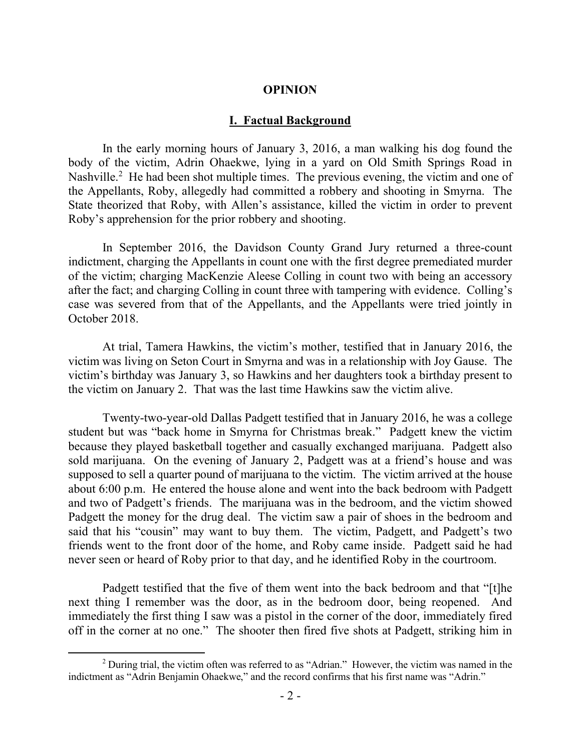#### **OPINION**

#### **I. Factual Background**

In the early morning hours of January 3, 2016, a man walking his dog found the body of the victim, Adrin Ohaekwe, lying in a yard on Old Smith Springs Road in Nashville.<sup>2</sup> He had been shot multiple times. The previous evening, the victim and one of the Appellants, Roby, allegedly had committed a robbery and shooting in Smyrna. The State theorized that Roby, with Allen's assistance, killed the victim in order to prevent Roby's apprehension for the prior robbery and shooting.

In September 2016, the Davidson County Grand Jury returned a three-count indictment, charging the Appellants in count one with the first degree premediated murder of the victim; charging MacKenzie Aleese Colling in count two with being an accessory after the fact; and charging Colling in count three with tampering with evidence. Colling's case was severed from that of the Appellants, and the Appellants were tried jointly in October 2018.

At trial, Tamera Hawkins, the victim's mother, testified that in January 2016, the victim was living on Seton Court in Smyrna and was in a relationship with Joy Gause. The victim's birthday was January 3, so Hawkins and her daughters took a birthday present to the victim on January 2. That was the last time Hawkins saw the victim alive.

Twenty-two-year-old Dallas Padgett testified that in January 2016, he was a college student but was "back home in Smyrna for Christmas break." Padgett knew the victim because they played basketball together and casually exchanged marijuana. Padgett also sold marijuana. On the evening of January 2, Padgett was at a friend's house and was supposed to sell a quarter pound of marijuana to the victim. The victim arrived at the house about 6:00 p.m. He entered the house alone and went into the back bedroom with Padgett and two of Padgett's friends. The marijuana was in the bedroom, and the victim showed Padgett the money for the drug deal. The victim saw a pair of shoes in the bedroom and said that his "cousin" may want to buy them. The victim, Padgett, and Padgett's two friends went to the front door of the home, and Roby came inside. Padgett said he had never seen or heard of Roby prior to that day, and he identified Roby in the courtroom.

Padgett testified that the five of them went into the back bedroom and that "[t]he next thing I remember was the door, as in the bedroom door, being reopened. And immediately the first thing I saw was a pistol in the corner of the door, immediately fired off in the corner at no one." The shooter then fired five shots at Padgett, striking him in

 $\overline{a}$ 

<sup>&</sup>lt;sup>2</sup> During trial, the victim often was referred to as "Adrian." However, the victim was named in the indictment as "Adrin Benjamin Ohaekwe," and the record confirms that his first name was "Adrin."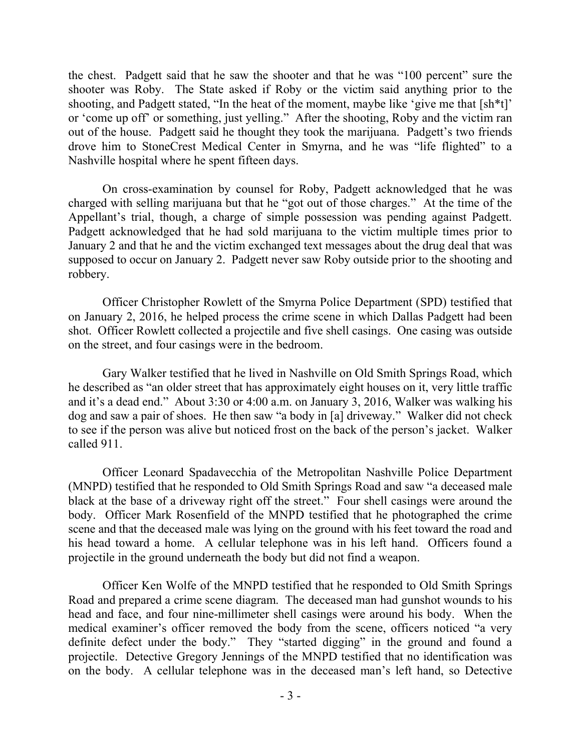the chest. Padgett said that he saw the shooter and that he was "100 percent" sure the shooter was Roby. The State asked if Roby or the victim said anything prior to the shooting, and Padgett stated, "In the heat of the moment, maybe like 'give me that [sh\*t]' or 'come up off' or something, just yelling." After the shooting, Roby and the victim ran out of the house. Padgett said he thought they took the marijuana. Padgett's two friends drove him to StoneCrest Medical Center in Smyrna, and he was "life flighted" to a Nashville hospital where he spent fifteen days.

On cross-examination by counsel for Roby, Padgett acknowledged that he was charged with selling marijuana but that he "got out of those charges." At the time of the Appellant's trial, though, a charge of simple possession was pending against Padgett. Padgett acknowledged that he had sold marijuana to the victim multiple times prior to January 2 and that he and the victim exchanged text messages about the drug deal that was supposed to occur on January 2. Padgett never saw Roby outside prior to the shooting and robbery.

Officer Christopher Rowlett of the Smyrna Police Department (SPD) testified that on January 2, 2016, he helped process the crime scene in which Dallas Padgett had been shot. Officer Rowlett collected a projectile and five shell casings. One casing was outside on the street, and four casings were in the bedroom.

Gary Walker testified that he lived in Nashville on Old Smith Springs Road, which he described as "an older street that has approximately eight houses on it, very little traffic and it's a dead end." About 3:30 or 4:00 a.m. on January 3, 2016, Walker was walking his dog and saw a pair of shoes. He then saw "a body in [a] driveway." Walker did not check to see if the person was alive but noticed frost on the back of the person's jacket. Walker called 911.

Officer Leonard Spadavecchia of the Metropolitan Nashville Police Department (MNPD) testified that he responded to Old Smith Springs Road and saw "a deceased male black at the base of a driveway right off the street." Four shell casings were around the body. Officer Mark Rosenfield of the MNPD testified that he photographed the crime scene and that the deceased male was lying on the ground with his feet toward the road and his head toward a home. A cellular telephone was in his left hand. Officers found a projectile in the ground underneath the body but did not find a weapon.

Officer Ken Wolfe of the MNPD testified that he responded to Old Smith Springs Road and prepared a crime scene diagram. The deceased man had gunshot wounds to his head and face, and four nine-millimeter shell casings were around his body. When the medical examiner's officer removed the body from the scene, officers noticed "a very definite defect under the body." They "started digging" in the ground and found a projectile. Detective Gregory Jennings of the MNPD testified that no identification was on the body. A cellular telephone was in the deceased man's left hand, so Detective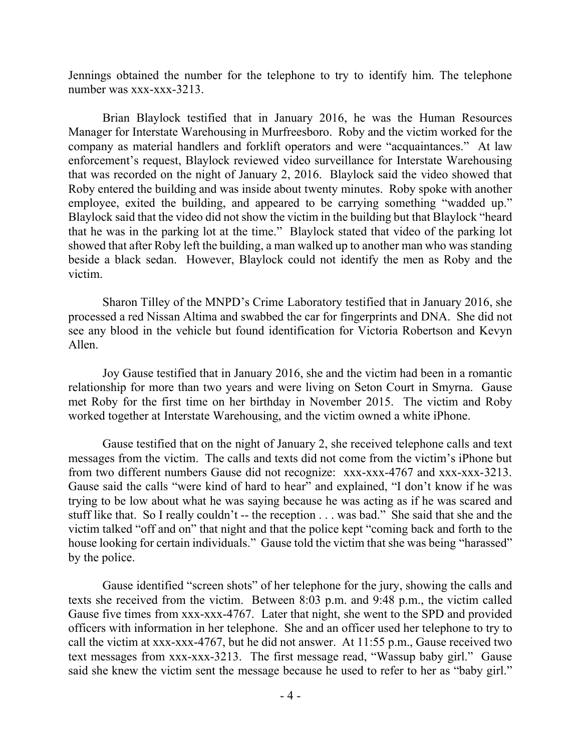Jennings obtained the number for the telephone to try to identify him. The telephone number was xxx-xxx-3213.

Brian Blaylock testified that in January 2016, he was the Human Resources Manager for Interstate Warehousing in Murfreesboro. Roby and the victim worked for the company as material handlers and forklift operators and were "acquaintances." At law enforcement's request, Blaylock reviewed video surveillance for Interstate Warehousing that was recorded on the night of January 2, 2016. Blaylock said the video showed that Roby entered the building and was inside about twenty minutes. Roby spoke with another employee, exited the building, and appeared to be carrying something "wadded up." Blaylock said that the video did not show the victim in the building but that Blaylock "heard that he was in the parking lot at the time." Blaylock stated that video of the parking lot showed that after Roby left the building, a man walked up to another man who was standing beside a black sedan. However, Blaylock could not identify the men as Roby and the victim.

Sharon Tilley of the MNPD's Crime Laboratory testified that in January 2016, she processed a red Nissan Altima and swabbed the car for fingerprints and DNA. She did not see any blood in the vehicle but found identification for Victoria Robertson and Kevyn Allen.

Joy Gause testified that in January 2016, she and the victim had been in a romantic relationship for more than two years and were living on Seton Court in Smyrna. Gause met Roby for the first time on her birthday in November 2015. The victim and Roby worked together at Interstate Warehousing, and the victim owned a white iPhone.

Gause testified that on the night of January 2, she received telephone calls and text messages from the victim. The calls and texts did not come from the victim's iPhone but from two different numbers Gause did not recognize: xxx-xxx-4767 and xxx-xxx-3213. Gause said the calls "were kind of hard to hear" and explained, "I don't know if he was trying to be low about what he was saying because he was acting as if he was scared and stuff like that. So I really couldn't -- the reception . . . was bad." She said that she and the victim talked "off and on" that night and that the police kept "coming back and forth to the house looking for certain individuals." Gause told the victim that she was being "harassed" by the police.

Gause identified "screen shots" of her telephone for the jury, showing the calls and texts she received from the victim. Between 8:03 p.m. and 9:48 p.m., the victim called Gause five times from xxx-xxx-4767. Later that night, she went to the SPD and provided officers with information in her telephone. She and an officer used her telephone to try to call the victim at xxx-xxx-4767, but he did not answer. At 11:55 p.m., Gause received two text messages from xxx-xxx-3213. The first message read, "Wassup baby girl." Gause said she knew the victim sent the message because he used to refer to her as "baby girl."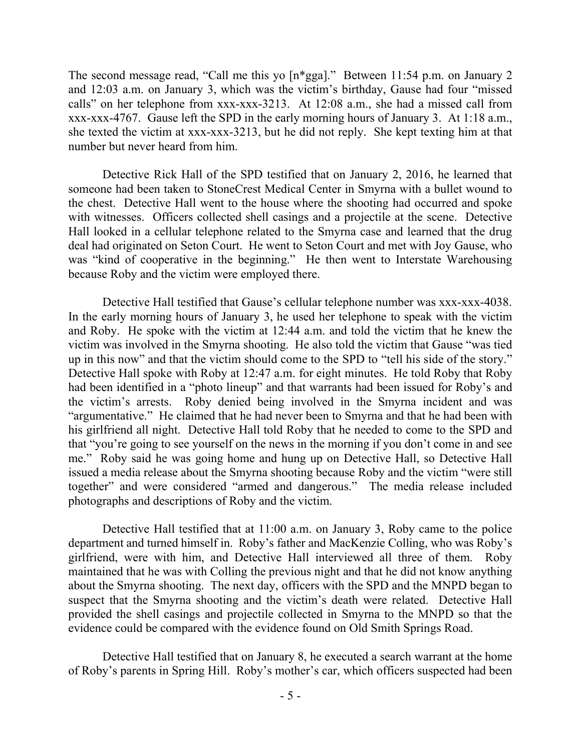The second message read, "Call me this yo [n\*gga]." Between 11:54 p.m. on January 2 and 12:03 a.m. on January 3, which was the victim's birthday, Gause had four "missed calls" on her telephone from xxx-xxx-3213. At 12:08 a.m., she had a missed call from xxx-xxx-4767. Gause left the SPD in the early morning hours of January 3. At 1:18 a.m., she texted the victim at xxx-xxx-3213, but he did not reply. She kept texting him at that number but never heard from him.

Detective Rick Hall of the SPD testified that on January 2, 2016, he learned that someone had been taken to StoneCrest Medical Center in Smyrna with a bullet wound to the chest. Detective Hall went to the house where the shooting had occurred and spoke with witnesses. Officers collected shell casings and a projectile at the scene. Detective Hall looked in a cellular telephone related to the Smyrna case and learned that the drug deal had originated on Seton Court. He went to Seton Court and met with Joy Gause, who was "kind of cooperative in the beginning." He then went to Interstate Warehousing because Roby and the victim were employed there.

Detective Hall testified that Gause's cellular telephone number was xxx-xxx-4038. In the early morning hours of January 3, he used her telephone to speak with the victim and Roby. He spoke with the victim at 12:44 a.m. and told the victim that he knew the victim was involved in the Smyrna shooting. He also told the victim that Gause "was tied up in this now" and that the victim should come to the SPD to "tell his side of the story." Detective Hall spoke with Roby at 12:47 a.m. for eight minutes. He told Roby that Roby had been identified in a "photo lineup" and that warrants had been issued for Roby's and the victim's arrests. Roby denied being involved in the Smyrna incident and was "argumentative." He claimed that he had never been to Smyrna and that he had been with his girlfriend all night. Detective Hall told Roby that he needed to come to the SPD and that "you're going to see yourself on the news in the morning if you don't come in and see me." Roby said he was going home and hung up on Detective Hall, so Detective Hall issued a media release about the Smyrna shooting because Roby and the victim "were still together" and were considered "armed and dangerous." The media release included photographs and descriptions of Roby and the victim.

Detective Hall testified that at 11:00 a.m. on January 3, Roby came to the police department and turned himself in. Roby's father and MacKenzie Colling, who was Roby's girlfriend, were with him, and Detective Hall interviewed all three of them. Roby maintained that he was with Colling the previous night and that he did not know anything about the Smyrna shooting. The next day, officers with the SPD and the MNPD began to suspect that the Smyrna shooting and the victim's death were related. Detective Hall provided the shell casings and projectile collected in Smyrna to the MNPD so that the evidence could be compared with the evidence found on Old Smith Springs Road.

Detective Hall testified that on January 8, he executed a search warrant at the home of Roby's parents in Spring Hill. Roby's mother's car, which officers suspected had been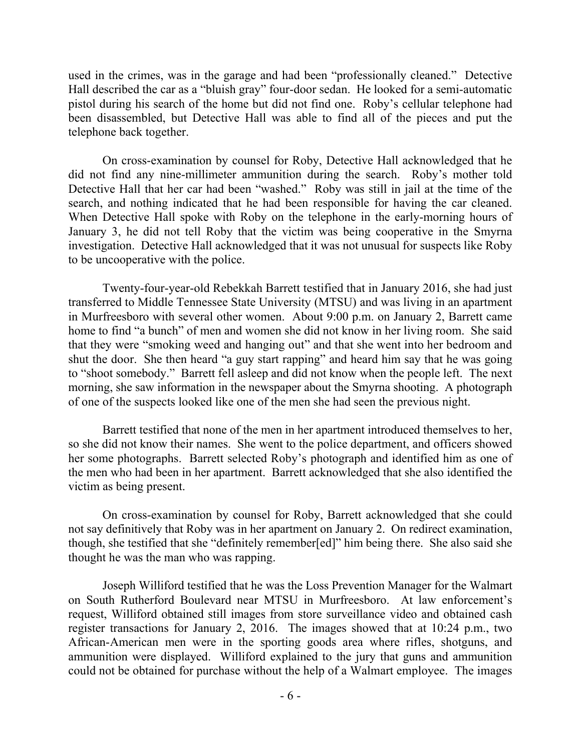used in the crimes, was in the garage and had been "professionally cleaned." Detective Hall described the car as a "bluish gray" four-door sedan. He looked for a semi-automatic pistol during his search of the home but did not find one. Roby's cellular telephone had been disassembled, but Detective Hall was able to find all of the pieces and put the telephone back together.

On cross-examination by counsel for Roby, Detective Hall acknowledged that he did not find any nine-millimeter ammunition during the search. Roby's mother told Detective Hall that her car had been "washed." Roby was still in jail at the time of the search, and nothing indicated that he had been responsible for having the car cleaned. When Detective Hall spoke with Roby on the telephone in the early-morning hours of January 3, he did not tell Roby that the victim was being cooperative in the Smyrna investigation. Detective Hall acknowledged that it was not unusual for suspects like Roby to be uncooperative with the police.

Twenty-four-year-old Rebekkah Barrett testified that in January 2016, she had just transferred to Middle Tennessee State University (MTSU) and was living in an apartment in Murfreesboro with several other women. About 9:00 p.m. on January 2, Barrett came home to find "a bunch" of men and women she did not know in her living room. She said that they were "smoking weed and hanging out" and that she went into her bedroom and shut the door. She then heard "a guy start rapping" and heard him say that he was going to "shoot somebody." Barrett fell asleep and did not know when the people left. The next morning, she saw information in the newspaper about the Smyrna shooting. A photograph of one of the suspects looked like one of the men she had seen the previous night.

Barrett testified that none of the men in her apartment introduced themselves to her, so she did not know their names. She went to the police department, and officers showed her some photographs. Barrett selected Roby's photograph and identified him as one of the men who had been in her apartment. Barrett acknowledged that she also identified the victim as being present.

On cross-examination by counsel for Roby, Barrett acknowledged that she could not say definitively that Roby was in her apartment on January 2. On redirect examination, though, she testified that she "definitely remember[ed]" him being there. She also said she thought he was the man who was rapping.

Joseph Williford testified that he was the Loss Prevention Manager for the Walmart on South Rutherford Boulevard near MTSU in Murfreesboro. At law enforcement's request, Williford obtained still images from store surveillance video and obtained cash register transactions for January 2, 2016. The images showed that at 10:24 p.m., two African-American men were in the sporting goods area where rifles, shotguns, and ammunition were displayed. Williford explained to the jury that guns and ammunition could not be obtained for purchase without the help of a Walmart employee. The images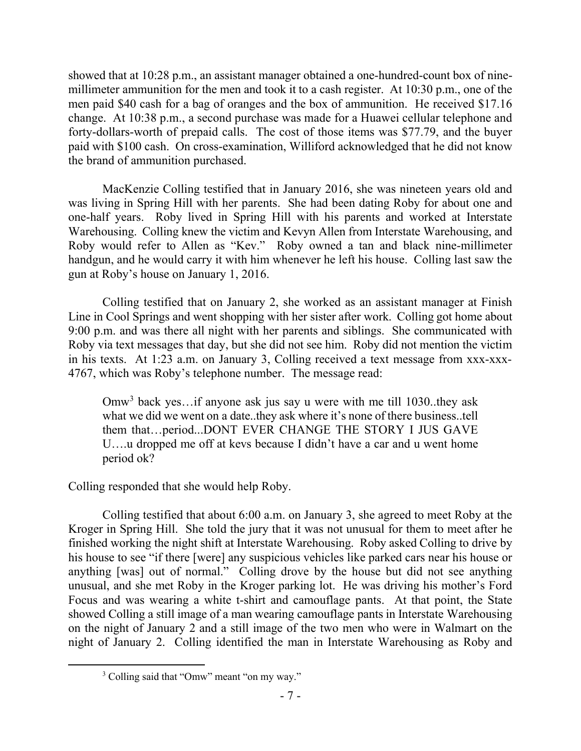showed that at 10:28 p.m., an assistant manager obtained a one-hundred-count box of ninemillimeter ammunition for the men and took it to a cash register. At 10:30 p.m., one of the men paid \$40 cash for a bag of oranges and the box of ammunition. He received \$17.16 change. At 10:38 p.m., a second purchase was made for a Huawei cellular telephone and forty-dollars-worth of prepaid calls. The cost of those items was \$77.79, and the buyer paid with \$100 cash. On cross-examination, Williford acknowledged that he did not know the brand of ammunition purchased.

MacKenzie Colling testified that in January 2016, she was nineteen years old and was living in Spring Hill with her parents. She had been dating Roby for about one and one-half years. Roby lived in Spring Hill with his parents and worked at Interstate Warehousing. Colling knew the victim and Kevyn Allen from Interstate Warehousing, and Roby would refer to Allen as "Kev." Roby owned a tan and black nine-millimeter handgun, and he would carry it with him whenever he left his house. Colling last saw the gun at Roby's house on January 1, 2016.

Colling testified that on January 2, she worked as an assistant manager at Finish Line in Cool Springs and went shopping with her sister after work. Colling got home about 9:00 p.m. and was there all night with her parents and siblings. She communicated with Roby via text messages that day, but she did not see him. Roby did not mention the victim in his texts. At 1:23 a.m. on January 3, Colling received a text message from xxx-xxx-4767, which was Roby's telephone number. The message read:

Omw<sup>3</sup> back yes...if anyone ask jus say u were with me till 1030..they ask what we did we went on a date..they ask where it's none of there business..tell them that…period...DONT EVER CHANGE THE STORY I JUS GAVE U….u dropped me off at kevs because I didn't have a car and u went home period ok?

Colling responded that she would help Roby.

Colling testified that about 6:00 a.m. on January 3, she agreed to meet Roby at the Kroger in Spring Hill. She told the jury that it was not unusual for them to meet after he finished working the night shift at Interstate Warehousing. Roby asked Colling to drive by his house to see "if there [were] any suspicious vehicles like parked cars near his house or anything [was] out of normal." Colling drove by the house but did not see anything unusual, and she met Roby in the Kroger parking lot. He was driving his mother's Ford Focus and was wearing a white t-shirt and camouflage pants. At that point, the State showed Colling a still image of a man wearing camouflage pants in Interstate Warehousing on the night of January 2 and a still image of the two men who were in Walmart on the night of January 2. Colling identified the man in Interstate Warehousing as Roby and

 $\overline{a}$ 

<sup>&</sup>lt;sup>3</sup> Colling said that "Omw" meant "on my way."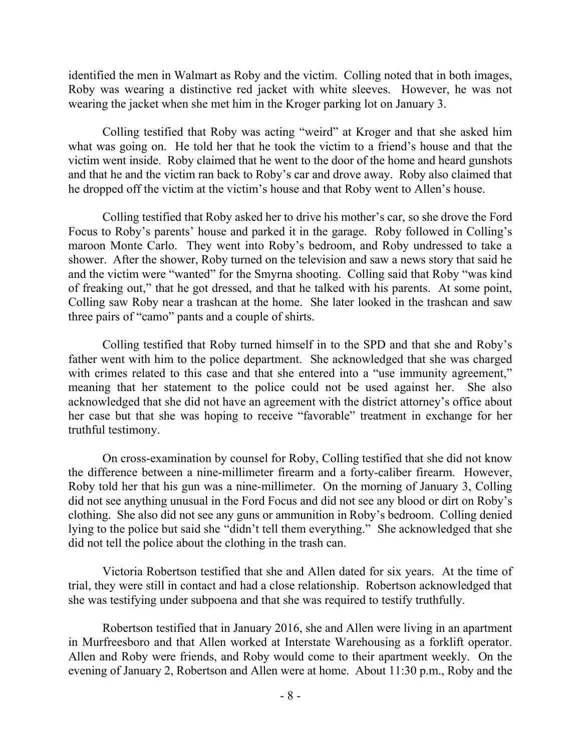identified the men in Walmart as Roby and the victim. Colling noted that in both images, Roby was wearing a distinctive red jacket with white sleeves. However, he was not wearing the jacket when she met him in the Kroger parking lot on January 3.

Colling testified that Roby was acting "weird" at Kroger and that she asked him what was going on. He told her that he took the victim to a friend's house and that the victim went inside. Roby claimed that he went to the door of the home and heard gunshots and that he and the victim ran back to Roby's car and drove away. Roby also claimed that he dropped off the victim at the victim's house and that Roby went to Allen's house.

Colling testified that Roby asked her to drive his mother's car, so she drove the Ford Focus to Roby's parents' house and parked it in the garage. Roby followed in Colling's maroon Monte Carlo. They went into Roby's bedroom, and Roby undressed to take a shower. After the shower, Roby turned on the television and saw a news story that said he and the victim were "wanted" for the Smyrna shooting. Colling said that Roby "was kind of freaking out," that he got dressed, and that he talked with his parents. At some point, Colling saw Roby near a trashcan at the home. She later looked in the trashcan and saw three pairs of "camo" pants and a couple of shirts.

Colling testified that Roby turned himself in to the SPD and that she and Roby's father went with him to the police department. She acknowledged that she was charged with crimes related to this case and that she entered into a "use immunity agreement," meaning that her statement to the police could not be used against her. She also acknowledged that she did not have an agreement with the district attorney's office about her case but that she was hoping to receive "favorable" treatment in exchange for her truthful testimony.

On cross-examination by counsel for Roby, Colling testified that she did not know the difference between a nine-millimeter firearm and a forty-caliber firearm. However, Roby told her that his gun was a nine-millimeter. On the morning of January 3, Colling did not see anything unusual in the Ford Focus and did not see any blood or dirt on Roby's clothing. She also did not see any guns or ammunition in Roby's bedroom. Colling denied lying to the police but said she "didn't tell them everything." She acknowledged that she did not tell the police about the clothing in the trash can.

Victoria Robertson testified that she and Allen dated for six years. At the time of trial, they were still in contact and had a close relationship. Robertson acknowledged that she was testifying under subpoena and that she was required to testify truthfully.

Robertson testified that in January 2016, she and Allen were living in an apartment in Murfreesboro and that Allen worked at Interstate Warehousing as a forklift operator. Allen and Roby were friends, and Roby would come to their apartment weekly. On the evening of January 2, Robertson and Allen were at home. About 11:30 p.m., Roby and the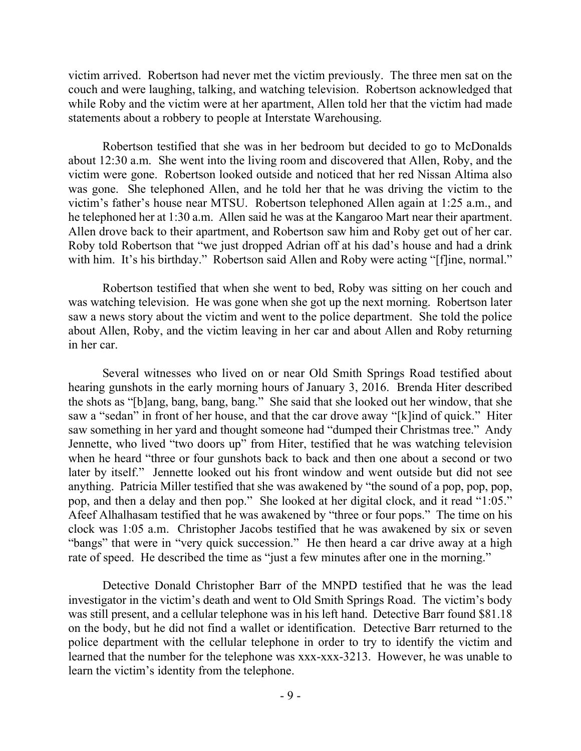victim arrived. Robertson had never met the victim previously. The three men sat on the couch and were laughing, talking, and watching television. Robertson acknowledged that while Roby and the victim were at her apartment, Allen told her that the victim had made statements about a robbery to people at Interstate Warehousing.

Robertson testified that she was in her bedroom but decided to go to McDonalds about 12:30 a.m. She went into the living room and discovered that Allen, Roby, and the victim were gone. Robertson looked outside and noticed that her red Nissan Altima also was gone. She telephoned Allen, and he told her that he was driving the victim to the victim's father's house near MTSU. Robertson telephoned Allen again at 1:25 a.m., and he telephoned her at 1:30 a.m. Allen said he was at the Kangaroo Mart near their apartment. Allen drove back to their apartment, and Robertson saw him and Roby get out of her car. Roby told Robertson that "we just dropped Adrian off at his dad's house and had a drink with him. It's his birthday." Robertson said Allen and Roby were acting "[f]ine, normal."

Robertson testified that when she went to bed, Roby was sitting on her couch and was watching television. He was gone when she got up the next morning. Robertson later saw a news story about the victim and went to the police department. She told the police about Allen, Roby, and the victim leaving in her car and about Allen and Roby returning in her car.

Several witnesses who lived on or near Old Smith Springs Road testified about hearing gunshots in the early morning hours of January 3, 2016. Brenda Hiter described the shots as "[b]ang, bang, bang, bang." She said that she looked out her window, that she saw a "sedan" in front of her house, and that the car drove away "[k]ind of quick." Hiter saw something in her yard and thought someone had "dumped their Christmas tree." Andy Jennette, who lived "two doors up" from Hiter, testified that he was watching television when he heard "three or four gunshots back to back and then one about a second or two later by itself." Jennette looked out his front window and went outside but did not see anything. Patricia Miller testified that she was awakened by "the sound of a pop, pop, pop, pop, and then a delay and then pop." She looked at her digital clock, and it read "1:05." Afeef Alhalhasam testified that he was awakened by "three or four pops." The time on his clock was 1:05 a.m. Christopher Jacobs testified that he was awakened by six or seven "bangs" that were in "very quick succession." He then heard a car drive away at a high rate of speed. He described the time as "just a few minutes after one in the morning."

Detective Donald Christopher Barr of the MNPD testified that he was the lead investigator in the victim's death and went to Old Smith Springs Road. The victim's body was still present, and a cellular telephone was in his left hand. Detective Barr found \$81.18 on the body, but he did not find a wallet or identification. Detective Barr returned to the police department with the cellular telephone in order to try to identify the victim and learned that the number for the telephone was xxx-xxx-3213. However, he was unable to learn the victim's identity from the telephone.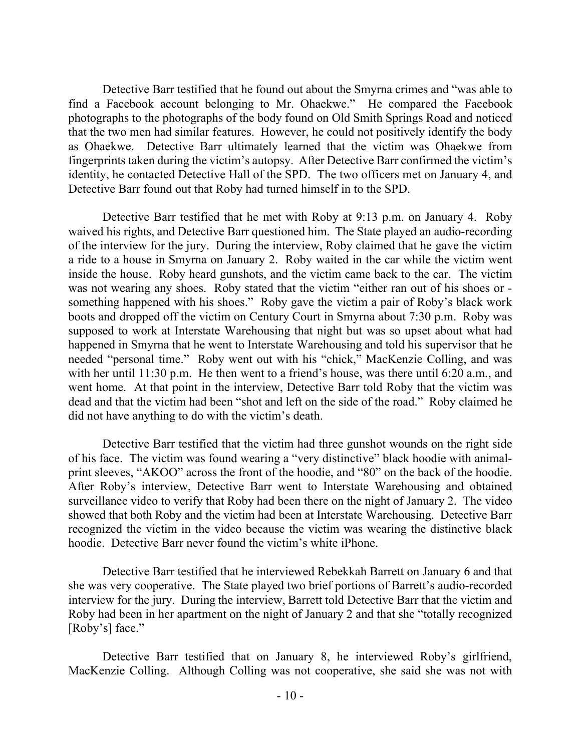Detective Barr testified that he found out about the Smyrna crimes and "was able to find a Facebook account belonging to Mr. Ohaekwe." He compared the Facebook photographs to the photographs of the body found on Old Smith Springs Road and noticed that the two men had similar features. However, he could not positively identify the body as Ohaekwe. Detective Barr ultimately learned that the victim was Ohaekwe from fingerprints taken during the victim's autopsy. After Detective Barr confirmed the victim's identity, he contacted Detective Hall of the SPD. The two officers met on January 4, and Detective Barr found out that Roby had turned himself in to the SPD.

Detective Barr testified that he met with Roby at 9:13 p.m. on January 4. Roby waived his rights, and Detective Barr questioned him. The State played an audio-recording of the interview for the jury. During the interview, Roby claimed that he gave the victim a ride to a house in Smyrna on January 2. Roby waited in the car while the victim went inside the house. Roby heard gunshots, and the victim came back to the car. The victim was not wearing any shoes. Roby stated that the victim "either ran out of his shoes or something happened with his shoes." Roby gave the victim a pair of Roby's black work boots and dropped off the victim on Century Court in Smyrna about 7:30 p.m. Roby was supposed to work at Interstate Warehousing that night but was so upset about what had happened in Smyrna that he went to Interstate Warehousing and told his supervisor that he needed "personal time." Roby went out with his "chick," MacKenzie Colling, and was with her until 11:30 p.m. He then went to a friend's house, was there until 6:20 a.m., and went home. At that point in the interview, Detective Barr told Roby that the victim was dead and that the victim had been "shot and left on the side of the road." Roby claimed he did not have anything to do with the victim's death.

Detective Barr testified that the victim had three gunshot wounds on the right side of his face. The victim was found wearing a "very distinctive" black hoodie with animalprint sleeves, "AKOO" across the front of the hoodie, and "80" on the back of the hoodie. After Roby's interview, Detective Barr went to Interstate Warehousing and obtained surveillance video to verify that Roby had been there on the night of January 2. The video showed that both Roby and the victim had been at Interstate Warehousing. Detective Barr recognized the victim in the video because the victim was wearing the distinctive black hoodie. Detective Barr never found the victim's white iPhone.

Detective Barr testified that he interviewed Rebekkah Barrett on January 6 and that she was very cooperative. The State played two brief portions of Barrett's audio-recorded interview for the jury. During the interview, Barrett told Detective Barr that the victim and Roby had been in her apartment on the night of January 2 and that she "totally recognized [Roby's] face."

Detective Barr testified that on January 8, he interviewed Roby's girlfriend, MacKenzie Colling. Although Colling was not cooperative, she said she was not with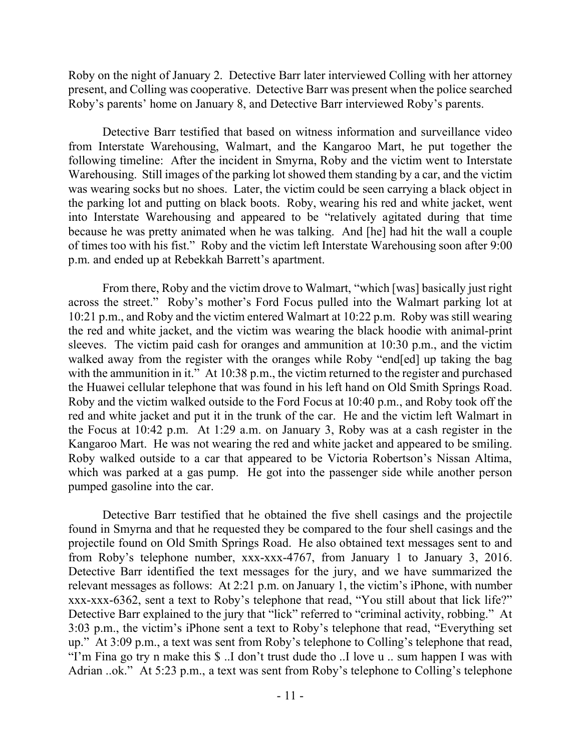Roby on the night of January 2. Detective Barr later interviewed Colling with her attorney present, and Colling was cooperative. Detective Barr was present when the police searched Roby's parents' home on January 8, and Detective Barr interviewed Roby's parents.

Detective Barr testified that based on witness information and surveillance video from Interstate Warehousing, Walmart, and the Kangaroo Mart, he put together the following timeline: After the incident in Smyrna, Roby and the victim went to Interstate Warehousing. Still images of the parking lot showed them standing by a car, and the victim was wearing socks but no shoes. Later, the victim could be seen carrying a black object in the parking lot and putting on black boots. Roby, wearing his red and white jacket, went into Interstate Warehousing and appeared to be "relatively agitated during that time because he was pretty animated when he was talking. And [he] had hit the wall a couple of times too with his fist." Roby and the victim left Interstate Warehousing soon after 9:00 p.m. and ended up at Rebekkah Barrett's apartment.

From there, Roby and the victim drove to Walmart, "which [was] basically just right across the street." Roby's mother's Ford Focus pulled into the Walmart parking lot at 10:21 p.m., and Roby and the victim entered Walmart at 10:22 p.m. Roby was still wearing the red and white jacket, and the victim was wearing the black hoodie with animal-print sleeves. The victim paid cash for oranges and ammunition at 10:30 p.m., and the victim walked away from the register with the oranges while Roby "end[ed] up taking the bag with the ammunition in it." At 10:38 p.m., the victim returned to the register and purchased the Huawei cellular telephone that was found in his left hand on Old Smith Springs Road. Roby and the victim walked outside to the Ford Focus at 10:40 p.m., and Roby took off the red and white jacket and put it in the trunk of the car. He and the victim left Walmart in the Focus at 10:42 p.m. At 1:29 a.m. on January 3, Roby was at a cash register in the Kangaroo Mart. He was not wearing the red and white jacket and appeared to be smiling. Roby walked outside to a car that appeared to be Victoria Robertson's Nissan Altima, which was parked at a gas pump. He got into the passenger side while another person pumped gasoline into the car.

Detective Barr testified that he obtained the five shell casings and the projectile found in Smyrna and that he requested they be compared to the four shell casings and the projectile found on Old Smith Springs Road. He also obtained text messages sent to and from Roby's telephone number, xxx-xxx-4767, from January 1 to January 3, 2016. Detective Barr identified the text messages for the jury, and we have summarized the relevant messages as follows: At 2:21 p.m. on January 1, the victim's iPhone, with number xxx-xxx-6362, sent a text to Roby's telephone that read, "You still about that lick life?" Detective Barr explained to the jury that "lick" referred to "criminal activity, robbing." At 3:03 p.m., the victim's iPhone sent a text to Roby's telephone that read, "Everything set up." At 3:09 p.m., a text was sent from Roby's telephone to Colling's telephone that read, "I'm Fina go try n make this \$ ..I don't trust dude tho ..I love u .. sum happen I was with Adrian ..ok." At 5:23 p.m., a text was sent from Roby's telephone to Colling's telephone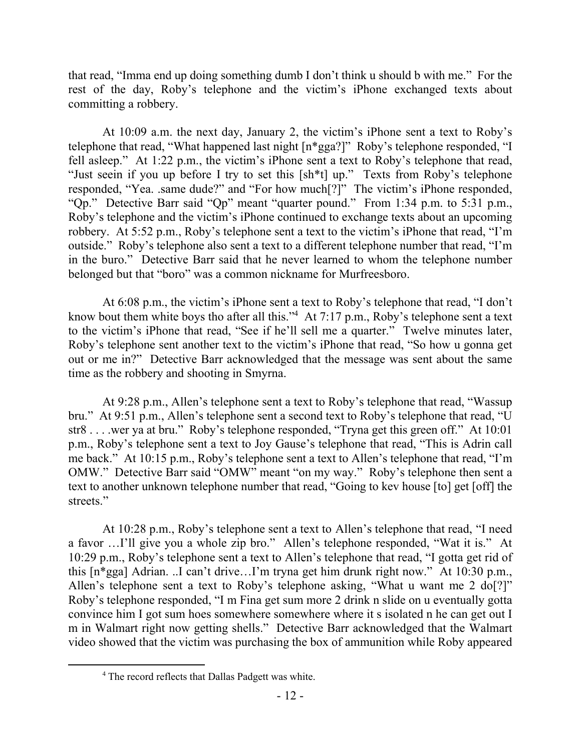that read, "Imma end up doing something dumb I don't think u should b with me." For the rest of the day, Roby's telephone and the victim's iPhone exchanged texts about committing a robbery.

At 10:09 a.m. the next day, January 2, the victim's iPhone sent a text to Roby's telephone that read, "What happened last night [n\*gga?]" Roby's telephone responded, "I fell asleep." At 1:22 p.m., the victim's iPhone sent a text to Roby's telephone that read, "Just seein if you up before I try to set this [sh\*t] up." Texts from Roby's telephone responded, "Yea. .same dude?" and "For how much[?]" The victim's iPhone responded, "Qp." Detective Barr said "Qp" meant "quarter pound." From 1:34 p.m. to 5:31 p.m., Roby's telephone and the victim's iPhone continued to exchange texts about an upcoming robbery. At 5:52 p.m., Roby's telephone sent a text to the victim's iPhone that read, "I'm outside." Roby's telephone also sent a text to a different telephone number that read, "I'm in the buro." Detective Barr said that he never learned to whom the telephone number belonged but that "boro" was a common nickname for Murfreesboro.

At 6:08 p.m., the victim's iPhone sent a text to Roby's telephone that read, "I don't know bout them white boys tho after all this."<sup>4</sup> At 7:17 p.m., Roby's telephone sent a text to the victim's iPhone that read, "See if he'll sell me a quarter." Twelve minutes later, Roby's telephone sent another text to the victim's iPhone that read, "So how u gonna get out or me in?" Detective Barr acknowledged that the message was sent about the same time as the robbery and shooting in Smyrna.

At 9:28 p.m., Allen's telephone sent a text to Roby's telephone that read, "Wassup bru." At 9:51 p.m., Allen's telephone sent a second text to Roby's telephone that read, "U str8 . . . .wer ya at bru." Roby's telephone responded, "Tryna get this green off." At 10:01 p.m., Roby's telephone sent a text to Joy Gause's telephone that read, "This is Adrin call me back." At 10:15 p.m., Roby's telephone sent a text to Allen's telephone that read, "I'm OMW." Detective Barr said "OMW" meant "on my way." Roby's telephone then sent a text to another unknown telephone number that read, "Going to kev house [to] get [off] the streets."

At 10:28 p.m., Roby's telephone sent a text to Allen's telephone that read, "I need a favor …I'll give you a whole zip bro." Allen's telephone responded, "Wat it is." At 10:29 p.m., Roby's telephone sent a text to Allen's telephone that read, "I gotta get rid of this [n\*gga] Adrian. ..I can't drive…I'm tryna get him drunk right now." At 10:30 p.m., Allen's telephone sent a text to Roby's telephone asking, "What u want me 2 do[?]" Roby's telephone responded, "I m Fina get sum more 2 drink n slide on u eventually gotta convince him I got sum hoes somewhere somewhere where it s isolated n he can get out I m in Walmart right now getting shells." Detective Barr acknowledged that the Walmart video showed that the victim was purchasing the box of ammunition while Roby appeared

 $\overline{a}$ 

<sup>4</sup> The record reflects that Dallas Padgett was white.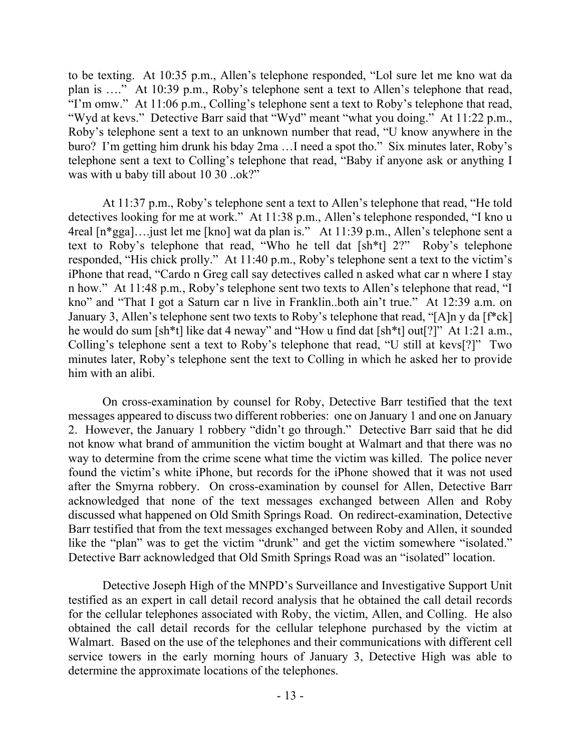to be texting. At 10:35 p.m., Allen's telephone responded, "Lol sure let me kno wat da plan is …." At 10:39 p.m., Roby's telephone sent a text to Allen's telephone that read, "I'm omw." At 11:06 p.m., Colling's telephone sent a text to Roby's telephone that read, "Wyd at kevs." Detective Barr said that "Wyd" meant "what you doing." At 11:22 p.m., Roby's telephone sent a text to an unknown number that read, "U know anywhere in the buro? I'm getting him drunk his bday 2ma …I need a spot tho." Six minutes later, Roby's telephone sent a text to Colling's telephone that read, "Baby if anyone ask or anything I was with u baby till about 10 30 ..ok?"

At 11:37 p.m., Roby's telephone sent a text to Allen's telephone that read, "He told detectives looking for me at work." At 11:38 p.m., Allen's telephone responded, "I kno u 4real [n\*gga]….just let me [kno] wat da plan is." At 11:39 p.m., Allen's telephone sent a text to Roby's telephone that read, "Who he tell dat [sh\*t] 2?" Roby's telephone responded, "His chick prolly." At 11:40 p.m., Roby's telephone sent a text to the victim's iPhone that read, "Cardo n Greg call say detectives called n asked what car n where I stay n how." At 11:48 p.m., Roby's telephone sent two texts to Allen's telephone that read, "I kno" and "That I got a Saturn car n live in Franklin..both ain't true." At 12:39 a.m. on January 3, Allen's telephone sent two texts to Roby's telephone that read, "[A]n y da [f\*ck] he would do sum [sh\*t] like dat 4 neway" and "How u find dat [sh\*t] out[?]" At 1:21 a.m., Colling's telephone sent a text to Roby's telephone that read, "U still at kevs[?]" Two minutes later, Roby's telephone sent the text to Colling in which he asked her to provide him with an alibi.

On cross-examination by counsel for Roby, Detective Barr testified that the text messages appeared to discuss two different robberies: one on January 1 and one on January 2. However, the January 1 robbery "didn't go through." Detective Barr said that he did not know what brand of ammunition the victim bought at Walmart and that there was no way to determine from the crime scene what time the victim was killed. The police never found the victim's white iPhone, but records for the iPhone showed that it was not used after the Smyrna robbery. On cross-examination by counsel for Allen, Detective Barr acknowledged that none of the text messages exchanged between Allen and Roby discussed what happened on Old Smith Springs Road. On redirect-examination, Detective Barr testified that from the text messages exchanged between Roby and Allen, it sounded like the "plan" was to get the victim "drunk" and get the victim somewhere "isolated." Detective Barr acknowledged that Old Smith Springs Road was an "isolated" location.

Detective Joseph High of the MNPD's Surveillance and Investigative Support Unit testified as an expert in call detail record analysis that he obtained the call detail records for the cellular telephones associated with Roby, the victim, Allen, and Colling. He also obtained the call detail records for the cellular telephone purchased by the victim at Walmart. Based on the use of the telephones and their communications with different cell service towers in the early morning hours of January 3, Detective High was able to determine the approximate locations of the telephones.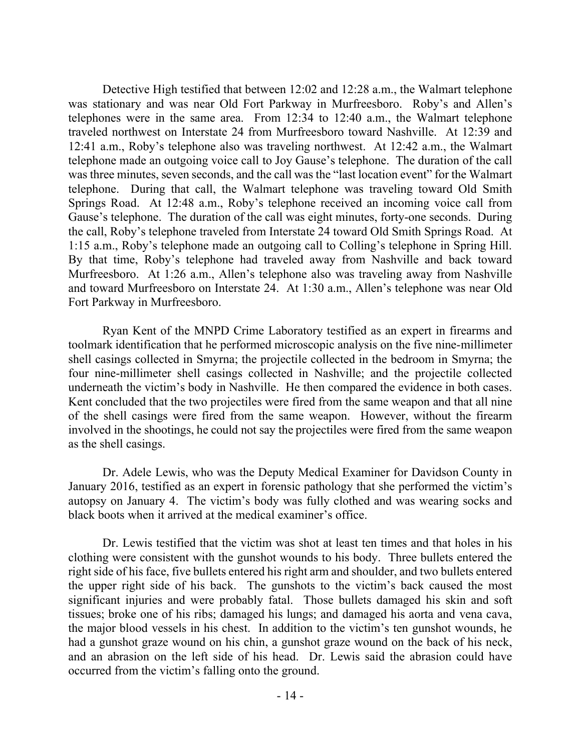Detective High testified that between 12:02 and 12:28 a.m., the Walmart telephone was stationary and was near Old Fort Parkway in Murfreesboro. Roby's and Allen's telephones were in the same area. From 12:34 to 12:40 a.m., the Walmart telephone traveled northwest on Interstate 24 from Murfreesboro toward Nashville. At 12:39 and 12:41 a.m., Roby's telephone also was traveling northwest. At 12:42 a.m., the Walmart telephone made an outgoing voice call to Joy Gause's telephone. The duration of the call was three minutes, seven seconds, and the call was the "last location event" for the Walmart telephone. During that call, the Walmart telephone was traveling toward Old Smith Springs Road. At 12:48 a.m., Roby's telephone received an incoming voice call from Gause's telephone. The duration of the call was eight minutes, forty-one seconds. During the call, Roby's telephone traveled from Interstate 24 toward Old Smith Springs Road. At 1:15 a.m., Roby's telephone made an outgoing call to Colling's telephone in Spring Hill. By that time, Roby's telephone had traveled away from Nashville and back toward Murfreesboro. At 1:26 a.m., Allen's telephone also was traveling away from Nashville and toward Murfreesboro on Interstate 24. At 1:30 a.m., Allen's telephone was near Old Fort Parkway in Murfreesboro.

Ryan Kent of the MNPD Crime Laboratory testified as an expert in firearms and toolmark identification that he performed microscopic analysis on the five nine-millimeter shell casings collected in Smyrna; the projectile collected in the bedroom in Smyrna; the four nine-millimeter shell casings collected in Nashville; and the projectile collected underneath the victim's body in Nashville. He then compared the evidence in both cases. Kent concluded that the two projectiles were fired from the same weapon and that all nine of the shell casings were fired from the same weapon. However, without the firearm involved in the shootings, he could not say the projectiles were fired from the same weapon as the shell casings.

Dr. Adele Lewis, who was the Deputy Medical Examiner for Davidson County in January 2016, testified as an expert in forensic pathology that she performed the victim's autopsy on January 4. The victim's body was fully clothed and was wearing socks and black boots when it arrived at the medical examiner's office.

Dr. Lewis testified that the victim was shot at least ten times and that holes in his clothing were consistent with the gunshot wounds to his body. Three bullets entered the right side of his face, five bullets entered his right arm and shoulder, and two bullets entered the upper right side of his back. The gunshots to the victim's back caused the most significant injuries and were probably fatal. Those bullets damaged his skin and soft tissues; broke one of his ribs; damaged his lungs; and damaged his aorta and vena cava, the major blood vessels in his chest. In addition to the victim's ten gunshot wounds, he had a gunshot graze wound on his chin, a gunshot graze wound on the back of his neck, and an abrasion on the left side of his head. Dr. Lewis said the abrasion could have occurred from the victim's falling onto the ground.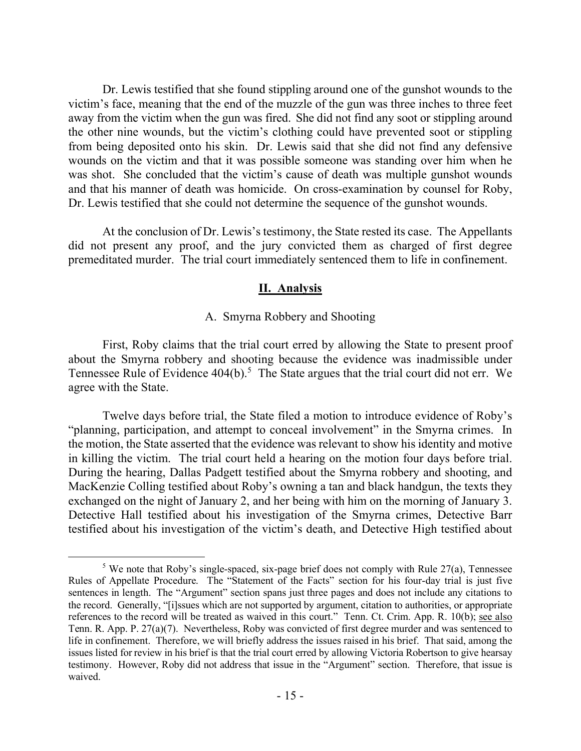Dr. Lewis testified that she found stippling around one of the gunshot wounds to the victim's face, meaning that the end of the muzzle of the gun was three inches to three feet away from the victim when the gun was fired. She did not find any soot or stippling around the other nine wounds, but the victim's clothing could have prevented soot or stippling from being deposited onto his skin. Dr. Lewis said that she did not find any defensive wounds on the victim and that it was possible someone was standing over him when he was shot. She concluded that the victim's cause of death was multiple gunshot wounds and that his manner of death was homicide. On cross-examination by counsel for Roby, Dr. Lewis testified that she could not determine the sequence of the gunshot wounds.

At the conclusion of Dr. Lewis's testimony, the State rested its case. The Appellants did not present any proof, and the jury convicted them as charged of first degree premeditated murder. The trial court immediately sentenced them to life in confinement.

### **II. Analysis**

### A. Smyrna Robbery and Shooting

First, Roby claims that the trial court erred by allowing the State to present proof about the Smyrna robbery and shooting because the evidence was inadmissible under Tennessee Rule of Evidence  $404(b)$ .<sup>5</sup> The State argues that the trial court did not err. We agree with the State.

Twelve days before trial, the State filed a motion to introduce evidence of Roby's "planning, participation, and attempt to conceal involvement" in the Smyrna crimes. In the motion, the State asserted that the evidence was relevant to show his identity and motive in killing the victim. The trial court held a hearing on the motion four days before trial. During the hearing, Dallas Padgett testified about the Smyrna robbery and shooting, and MacKenzie Colling testified about Roby's owning a tan and black handgun, the texts they exchanged on the night of January 2, and her being with him on the morning of January 3. Detective Hall testified about his investigation of the Smyrna crimes, Detective Barr testified about his investigation of the victim's death, and Detective High testified about

<sup>&</sup>lt;sup>5</sup> We note that Roby's single-spaced, six-page brief does not comply with Rule  $27(a)$ , Tennessee Rules of Appellate Procedure. The "Statement of the Facts" section for his four-day trial is just five sentences in length. The "Argument" section spans just three pages and does not include any citations to the record. Generally, "[i]ssues which are not supported by argument, citation to authorities, or appropriate references to the record will be treated as waived in this court." Tenn. Ct. Crim. App. R. 10(b); see also Tenn. R. App. P. 27(a)(7). Nevertheless, Roby was convicted of first degree murder and was sentenced to life in confinement. Therefore, we will briefly address the issues raised in his brief. That said, among the issues listed for review in his brief is that the trial court erred by allowing Victoria Robertson to give hearsay testimony. However, Roby did not address that issue in the "Argument" section. Therefore, that issue is waived.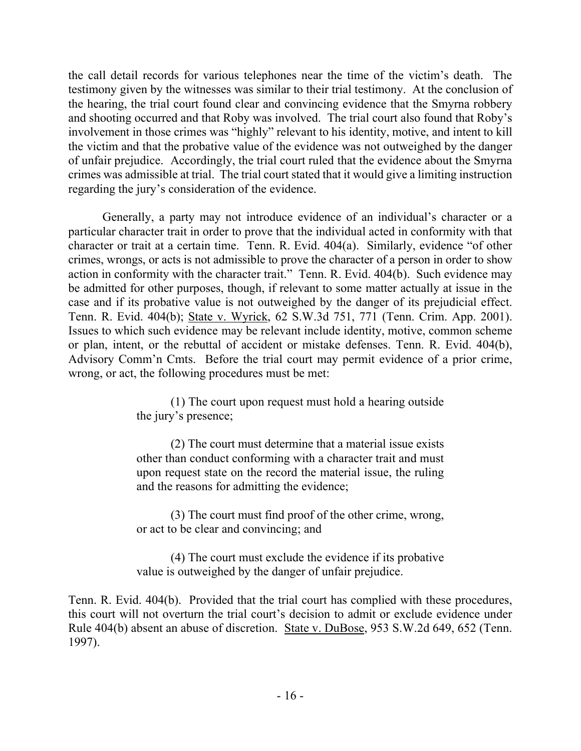the call detail records for various telephones near the time of the victim's death. The testimony given by the witnesses was similar to their trial testimony. At the conclusion of the hearing, the trial court found clear and convincing evidence that the Smyrna robbery and shooting occurred and that Roby was involved. The trial court also found that Roby's involvement in those crimes was "highly" relevant to his identity, motive, and intent to kill the victim and that the probative value of the evidence was not outweighed by the danger of unfair prejudice. Accordingly, the trial court ruled that the evidence about the Smyrna crimes was admissible at trial. The trial court stated that it would give a limiting instruction regarding the jury's consideration of the evidence.

Generally, a party may not introduce evidence of an individual's character or a particular character trait in order to prove that the individual acted in conformity with that character or trait at a certain time. Tenn. R. Evid. 404(a). Similarly, evidence "of other crimes, wrongs, or acts is not admissible to prove the character of a person in order to show action in conformity with the character trait." Tenn. R. Evid. 404(b). Such evidence may be admitted for other purposes, though, if relevant to some matter actually at issue in the case and if its probative value is not outweighed by the danger of its prejudicial effect. Tenn. R. Evid. 404(b); State v. Wyrick, 62 S.W.3d 751, 771 (Tenn. Crim. App. 2001). Issues to which such evidence may be relevant include identity, motive, common scheme or plan, intent, or the rebuttal of accident or mistake defenses. Tenn. R. Evid. 404(b), Advisory Comm'n Cmts. Before the trial court may permit evidence of a prior crime, wrong, or act, the following procedures must be met:

> (1) The court upon request must hold a hearing outside the jury's presence;

> (2) The court must determine that a material issue exists other than conduct conforming with a character trait and must upon request state on the record the material issue, the ruling and the reasons for admitting the evidence;

> (3) The court must find proof of the other crime, wrong, or act to be clear and convincing; and

> (4) The court must exclude the evidence if its probative value is outweighed by the danger of unfair prejudice.

Tenn. R. Evid. 404(b). Provided that the trial court has complied with these procedures, this court will not overturn the trial court's decision to admit or exclude evidence under Rule 404(b) absent an abuse of discretion. State v. DuBose, 953 S.W.2d 649, 652 (Tenn. 1997).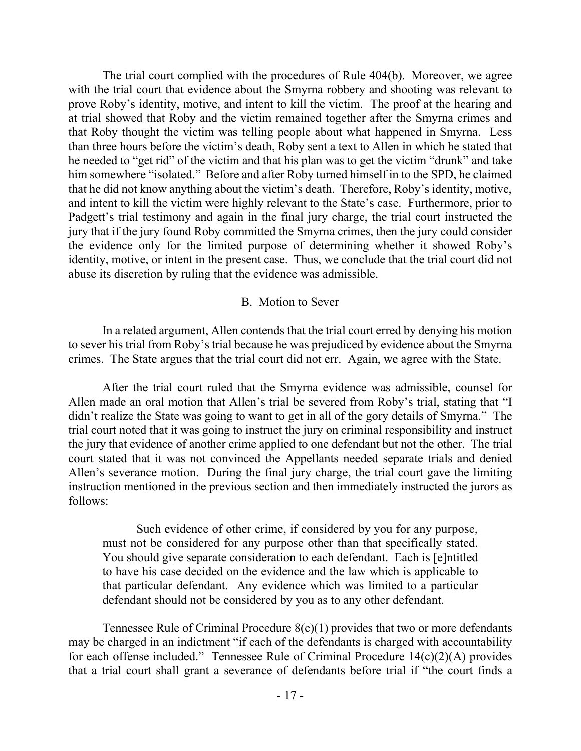The trial court complied with the procedures of Rule 404(b). Moreover, we agree with the trial court that evidence about the Smyrna robbery and shooting was relevant to prove Roby's identity, motive, and intent to kill the victim. The proof at the hearing and at trial showed that Roby and the victim remained together after the Smyrna crimes and that Roby thought the victim was telling people about what happened in Smyrna. Less than three hours before the victim's death, Roby sent a text to Allen in which he stated that he needed to "get rid" of the victim and that his plan was to get the victim "drunk" and take him somewhere "isolated." Before and after Roby turned himself in to the SPD, he claimed that he did not know anything about the victim's death. Therefore, Roby's identity, motive, and intent to kill the victim were highly relevant to the State's case. Furthermore, prior to Padgett's trial testimony and again in the final jury charge, the trial court instructed the jury that if the jury found Roby committed the Smyrna crimes, then the jury could consider the evidence only for the limited purpose of determining whether it showed Roby's identity, motive, or intent in the present case. Thus, we conclude that the trial court did not abuse its discretion by ruling that the evidence was admissible.

#### B. Motion to Sever

In a related argument, Allen contends that the trial court erred by denying his motion to sever his trial from Roby's trial because he was prejudiced by evidence about the Smyrna crimes. The State argues that the trial court did not err. Again, we agree with the State.

After the trial court ruled that the Smyrna evidence was admissible, counsel for Allen made an oral motion that Allen's trial be severed from Roby's trial, stating that "I didn't realize the State was going to want to get in all of the gory details of Smyrna." The trial court noted that it was going to instruct the jury on criminal responsibility and instruct the jury that evidence of another crime applied to one defendant but not the other. The trial court stated that it was not convinced the Appellants needed separate trials and denied Allen's severance motion. During the final jury charge, the trial court gave the limiting instruction mentioned in the previous section and then immediately instructed the jurors as follows:

Such evidence of other crime, if considered by you for any purpose, must not be considered for any purpose other than that specifically stated. You should give separate consideration to each defendant. Each is [e]ntitled to have his case decided on the evidence and the law which is applicable to that particular defendant. Any evidence which was limited to a particular defendant should not be considered by you as to any other defendant.

Tennessee Rule of Criminal Procedure 8(c)(1) provides that two or more defendants may be charged in an indictment "if each of the defendants is charged with accountability for each offense included." Tennessee Rule of Criminal Procedure 14(c)(2)(A) provides that a trial court shall grant a severance of defendants before trial if "the court finds a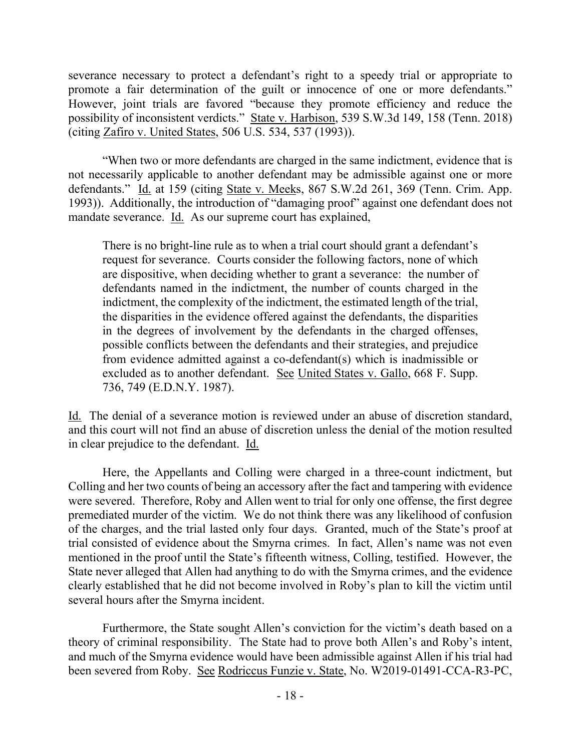severance necessary to protect a defendant's right to a speedy trial or appropriate to promote a fair determination of the guilt or innocence of one or more defendants." However, joint trials are favored "because they promote efficiency and reduce the possibility of inconsistent verdicts." State v. Harbison, 539 S.W.3d 149, 158 (Tenn. 2018) (citing Zafiro v. United States, 506 U.S. 534, 537 (1993)).

"When two or more defendants are charged in the same indictment, evidence that is not necessarily applicable to another defendant may be admissible against one or more defendants." Id. at 159 (citing State v. Meeks, 867 S.W.2d 261, 369 (Tenn. Crim. App. 1993)). Additionally, the introduction of "damaging proof" against one defendant does not mandate severance. Id. As our supreme court has explained,

There is no bright-line rule as to when a trial court should grant a defendant's request for severance. Courts consider the following factors, none of which are dispositive, when deciding whether to grant a severance: the number of defendants named in the indictment, the number of counts charged in the indictment, the complexity of the indictment, the estimated length of the trial, the disparities in the evidence offered against the defendants, the disparities in the degrees of involvement by the defendants in the charged offenses, possible conflicts between the defendants and their strategies, and prejudice from evidence admitted against a co-defendant(s) which is inadmissible or excluded as to another defendant. See United States v. Gallo, 668 F. Supp. 736, 749 (E.D.N.Y. 1987).

Id. The denial of a severance motion is reviewed under an abuse of discretion standard, and this court will not find an abuse of discretion unless the denial of the motion resulted in clear prejudice to the defendant. Id.

Here, the Appellants and Colling were charged in a three-count indictment, but Colling and her two counts of being an accessory after the fact and tampering with evidence were severed. Therefore, Roby and Allen went to trial for only one offense, the first degree premediated murder of the victim. We do not think there was any likelihood of confusion of the charges, and the trial lasted only four days. Granted, much of the State's proof at trial consisted of evidence about the Smyrna crimes. In fact, Allen's name was not even mentioned in the proof until the State's fifteenth witness, Colling, testified. However, the State never alleged that Allen had anything to do with the Smyrna crimes, and the evidence clearly established that he did not become involved in Roby's plan to kill the victim until several hours after the Smyrna incident.

Furthermore, the State sought Allen's conviction for the victim's death based on a theory of criminal responsibility. The State had to prove both Allen's and Roby's intent, and much of the Smyrna evidence would have been admissible against Allen if his trial had been severed from Roby. See Rodriccus Funzie v. State, No. W2019-01491-CCA-R3-PC,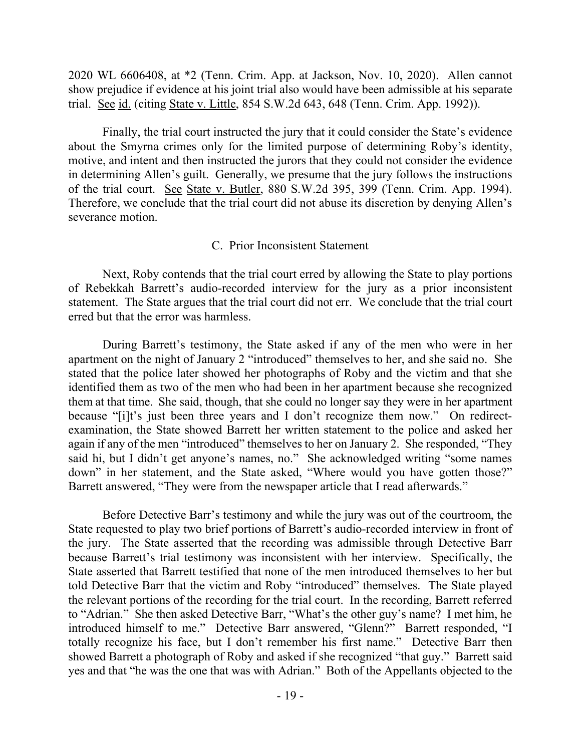2020 WL 6606408, at \*2 (Tenn. Crim. App. at Jackson, Nov. 10, 2020). Allen cannot show prejudice if evidence at his joint trial also would have been admissible at his separate trial. See id. (citing State v. Little, 854 S.W.2d 643, 648 (Tenn. Crim. App. 1992)).

Finally, the trial court instructed the jury that it could consider the State's evidence about the Smyrna crimes only for the limited purpose of determining Roby's identity, motive, and intent and then instructed the jurors that they could not consider the evidence in determining Allen's guilt. Generally, we presume that the jury follows the instructions of the trial court. See State v. Butler, 880 S.W.2d 395, 399 (Tenn. Crim. App. 1994). Therefore, we conclude that the trial court did not abuse its discretion by denying Allen's severance motion.

### C. Prior Inconsistent Statement

Next, Roby contends that the trial court erred by allowing the State to play portions of Rebekkah Barrett's audio-recorded interview for the jury as a prior inconsistent statement. The State argues that the trial court did not err. We conclude that the trial court erred but that the error was harmless.

During Barrett's testimony, the State asked if any of the men who were in her apartment on the night of January 2 "introduced" themselves to her, and she said no. She stated that the police later showed her photographs of Roby and the victim and that she identified them as two of the men who had been in her apartment because she recognized them at that time. She said, though, that she could no longer say they were in her apartment because "[i]t's just been three years and I don't recognize them now." On redirectexamination, the State showed Barrett her written statement to the police and asked her again if any of the men "introduced" themselves to her on January 2. She responded, "They said hi, but I didn't get anyone's names, no." She acknowledged writing "some names down" in her statement, and the State asked, "Where would you have gotten those?" Barrett answered, "They were from the newspaper article that I read afterwards."

Before Detective Barr's testimony and while the jury was out of the courtroom, the State requested to play two brief portions of Barrett's audio-recorded interview in front of the jury. The State asserted that the recording was admissible through Detective Barr because Barrett's trial testimony was inconsistent with her interview. Specifically, the State asserted that Barrett testified that none of the men introduced themselves to her but told Detective Barr that the victim and Roby "introduced" themselves. The State played the relevant portions of the recording for the trial court. In the recording, Barrett referred to "Adrian." She then asked Detective Barr, "What's the other guy's name? I met him, he introduced himself to me." Detective Barr answered, "Glenn?" Barrett responded, "I totally recognize his face, but I don't remember his first name." Detective Barr then showed Barrett a photograph of Roby and asked if she recognized "that guy." Barrett said yes and that "he was the one that was with Adrian." Both of the Appellants objected to the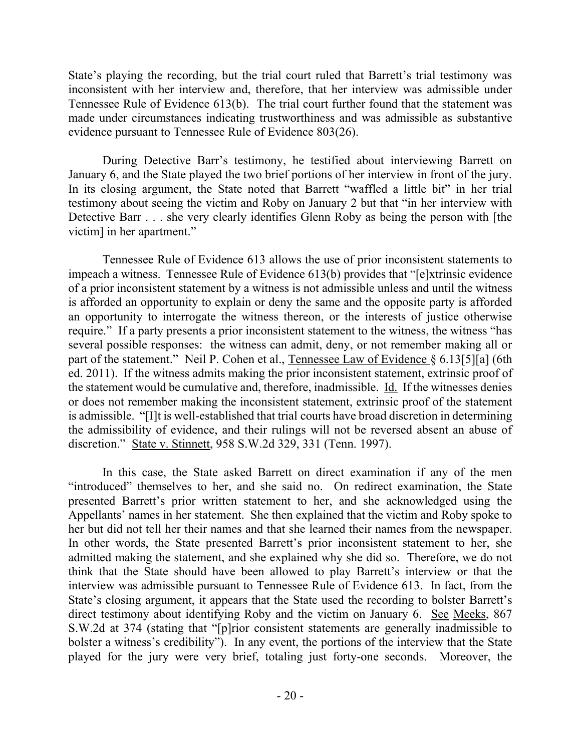State's playing the recording, but the trial court ruled that Barrett's trial testimony was inconsistent with her interview and, therefore, that her interview was admissible under Tennessee Rule of Evidence 613(b). The trial court further found that the statement was made under circumstances indicating trustworthiness and was admissible as substantive evidence pursuant to Tennessee Rule of Evidence 803(26).

During Detective Barr's testimony, he testified about interviewing Barrett on January 6, and the State played the two brief portions of her interview in front of the jury. In its closing argument, the State noted that Barrett "waffled a little bit" in her trial testimony about seeing the victim and Roby on January 2 but that "in her interview with Detective Barr . . . she very clearly identifies Glenn Roby as being the person with [the victim] in her apartment."

Tennessee Rule of Evidence 613 allows the use of prior inconsistent statements to impeach a witness. Tennessee Rule of Evidence 613(b) provides that "[e]xtrinsic evidence of a prior inconsistent statement by a witness is not admissible unless and until the witness is afforded an opportunity to explain or deny the same and the opposite party is afforded an opportunity to interrogate the witness thereon, or the interests of justice otherwise require." If a party presents a prior inconsistent statement to the witness, the witness "has several possible responses: the witness can admit, deny, or not remember making all or part of the statement." Neil P. Cohen et al., Tennessee Law of Evidence § 6.13[5][a] (6th ed. 2011). If the witness admits making the prior inconsistent statement, extrinsic proof of the statement would be cumulative and, therefore, inadmissible. Id. If the witnesses denies or does not remember making the inconsistent statement, extrinsic proof of the statement is admissible. "[I]t is well-established that trial courts have broad discretion in determining the admissibility of evidence, and their rulings will not be reversed absent an abuse of discretion." State v. Stinnett, 958 S.W.2d 329, 331 (Tenn. 1997).

In this case, the State asked Barrett on direct examination if any of the men "introduced" themselves to her, and she said no. On redirect examination, the State presented Barrett's prior written statement to her, and she acknowledged using the Appellants' names in her statement. She then explained that the victim and Roby spoke to her but did not tell her their names and that she learned their names from the newspaper. In other words, the State presented Barrett's prior inconsistent statement to her, she admitted making the statement, and she explained why she did so. Therefore, we do not think that the State should have been allowed to play Barrett's interview or that the interview was admissible pursuant to Tennessee Rule of Evidence 613. In fact, from the State's closing argument, it appears that the State used the recording to bolster Barrett's direct testimony about identifying Roby and the victim on January 6. See Meeks, 867 S.W.2d at 374 (stating that "[p]rior consistent statements are generally inadmissible to bolster a witness's credibility"). In any event, the portions of the interview that the State played for the jury were very brief, totaling just forty-one seconds. Moreover, the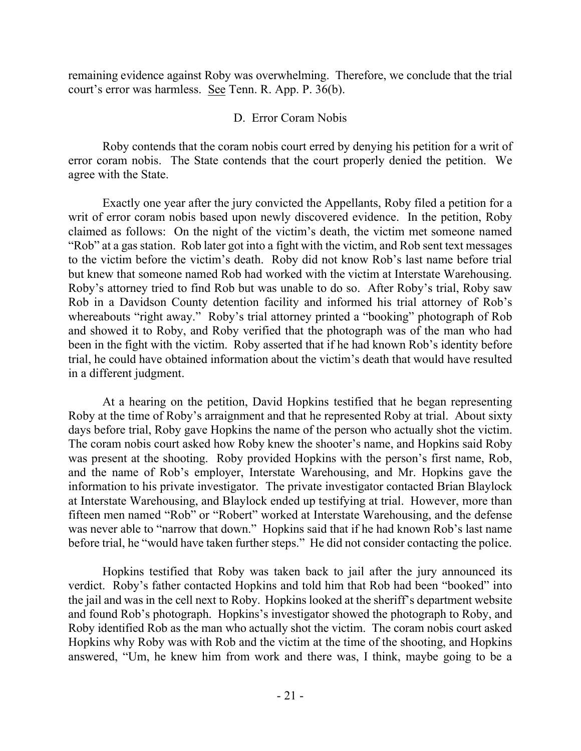remaining evidence against Roby was overwhelming. Therefore, we conclude that the trial court's error was harmless. See Tenn. R. App. P. 36(b).

# D. Error Coram Nobis

Roby contends that the coram nobis court erred by denying his petition for a writ of error coram nobis. The State contends that the court properly denied the petition. We agree with the State.

Exactly one year after the jury convicted the Appellants, Roby filed a petition for a writ of error coram nobis based upon newly discovered evidence. In the petition, Roby claimed as follows: On the night of the victim's death, the victim met someone named "Rob" at a gas station. Rob later got into a fight with the victim, and Rob sent text messages to the victim before the victim's death. Roby did not know Rob's last name before trial but knew that someone named Rob had worked with the victim at Interstate Warehousing. Roby's attorney tried to find Rob but was unable to do so. After Roby's trial, Roby saw Rob in a Davidson County detention facility and informed his trial attorney of Rob's whereabouts "right away." Roby's trial attorney printed a "booking" photograph of Rob and showed it to Roby, and Roby verified that the photograph was of the man who had been in the fight with the victim. Roby asserted that if he had known Rob's identity before trial, he could have obtained information about the victim's death that would have resulted in a different judgment.

At a hearing on the petition, David Hopkins testified that he began representing Roby at the time of Roby's arraignment and that he represented Roby at trial. About sixty days before trial, Roby gave Hopkins the name of the person who actually shot the victim. The coram nobis court asked how Roby knew the shooter's name, and Hopkins said Roby was present at the shooting. Roby provided Hopkins with the person's first name, Rob, and the name of Rob's employer, Interstate Warehousing, and Mr. Hopkins gave the information to his private investigator. The private investigator contacted Brian Blaylock at Interstate Warehousing, and Blaylock ended up testifying at trial. However, more than fifteen men named "Rob" or "Robert" worked at Interstate Warehousing, and the defense was never able to "narrow that down." Hopkins said that if he had known Rob's last name before trial, he "would have taken further steps." He did not consider contacting the police.

Hopkins testified that Roby was taken back to jail after the jury announced its verdict. Roby's father contacted Hopkins and told him that Rob had been "booked" into the jail and was in the cell next to Roby. Hopkins looked at the sheriff's department website and found Rob's photograph. Hopkins's investigator showed the photograph to Roby, and Roby identified Rob as the man who actually shot the victim. The coram nobis court asked Hopkins why Roby was with Rob and the victim at the time of the shooting, and Hopkins answered, "Um, he knew him from work and there was, I think, maybe going to be a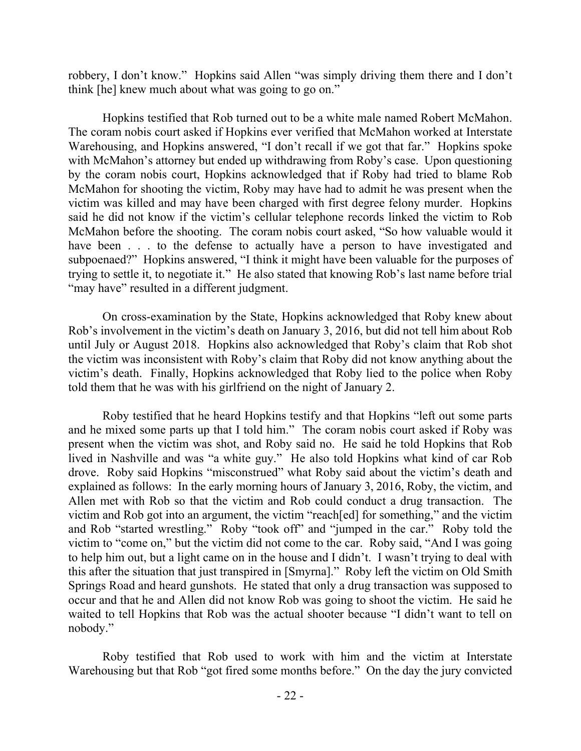robbery, I don't know." Hopkins said Allen "was simply driving them there and I don't think [he] knew much about what was going to go on."

Hopkins testified that Rob turned out to be a white male named Robert McMahon. The coram nobis court asked if Hopkins ever verified that McMahon worked at Interstate Warehousing, and Hopkins answered, "I don't recall if we got that far." Hopkins spoke with McMahon's attorney but ended up withdrawing from Roby's case. Upon questioning by the coram nobis court, Hopkins acknowledged that if Roby had tried to blame Rob McMahon for shooting the victim, Roby may have had to admit he was present when the victim was killed and may have been charged with first degree felony murder. Hopkins said he did not know if the victim's cellular telephone records linked the victim to Rob McMahon before the shooting. The coram nobis court asked, "So how valuable would it have been . . . to the defense to actually have a person to have investigated and subpoenaed?" Hopkins answered, "I think it might have been valuable for the purposes of trying to settle it, to negotiate it." He also stated that knowing Rob's last name before trial "may have" resulted in a different judgment.

On cross-examination by the State, Hopkins acknowledged that Roby knew about Rob's involvement in the victim's death on January 3, 2016, but did not tell him about Rob until July or August 2018. Hopkins also acknowledged that Roby's claim that Rob shot the victim was inconsistent with Roby's claim that Roby did not know anything about the victim's death. Finally, Hopkins acknowledged that Roby lied to the police when Roby told them that he was with his girlfriend on the night of January 2.

Roby testified that he heard Hopkins testify and that Hopkins "left out some parts and he mixed some parts up that I told him." The coram nobis court asked if Roby was present when the victim was shot, and Roby said no. He said he told Hopkins that Rob lived in Nashville and was "a white guy." He also told Hopkins what kind of car Rob drove. Roby said Hopkins "misconstrued" what Roby said about the victim's death and explained as follows: In the early morning hours of January 3, 2016, Roby, the victim, and Allen met with Rob so that the victim and Rob could conduct a drug transaction. The victim and Rob got into an argument, the victim "reach[ed] for something," and the victim and Rob "started wrestling." Roby "took off" and "jumped in the car." Roby told the victim to "come on," but the victim did not come to the car. Roby said, "And I was going to help him out, but a light came on in the house and I didn't. I wasn't trying to deal with this after the situation that just transpired in [Smyrna]." Roby left the victim on Old Smith Springs Road and heard gunshots. He stated that only a drug transaction was supposed to occur and that he and Allen did not know Rob was going to shoot the victim. He said he waited to tell Hopkins that Rob was the actual shooter because "I didn't want to tell on nobody."

Roby testified that Rob used to work with him and the victim at Interstate Warehousing but that Rob "got fired some months before." On the day the jury convicted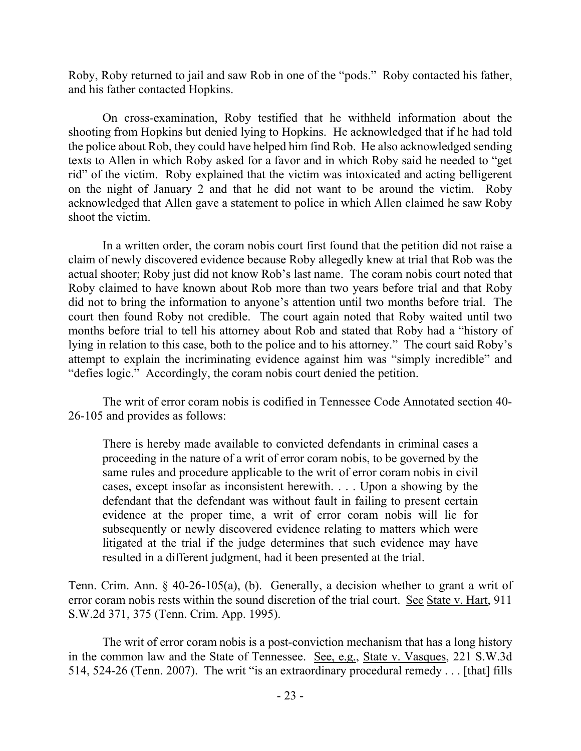Roby, Roby returned to jail and saw Rob in one of the "pods." Roby contacted his father, and his father contacted Hopkins.

On cross-examination, Roby testified that he withheld information about the shooting from Hopkins but denied lying to Hopkins. He acknowledged that if he had told the police about Rob, they could have helped him find Rob. He also acknowledged sending texts to Allen in which Roby asked for a favor and in which Roby said he needed to "get rid" of the victim. Roby explained that the victim was intoxicated and acting belligerent on the night of January 2 and that he did not want to be around the victim. Roby acknowledged that Allen gave a statement to police in which Allen claimed he saw Roby shoot the victim.

In a written order, the coram nobis court first found that the petition did not raise a claim of newly discovered evidence because Roby allegedly knew at trial that Rob was the actual shooter; Roby just did not know Rob's last name. The coram nobis court noted that Roby claimed to have known about Rob more than two years before trial and that Roby did not to bring the information to anyone's attention until two months before trial. The court then found Roby not credible. The court again noted that Roby waited until two months before trial to tell his attorney about Rob and stated that Roby had a "history of lying in relation to this case, both to the police and to his attorney." The court said Roby's attempt to explain the incriminating evidence against him was "simply incredible" and "defies logic." Accordingly, the coram nobis court denied the petition.

The writ of error coram nobis is codified in Tennessee Code Annotated section 40- 26-105 and provides as follows:

There is hereby made available to convicted defendants in criminal cases a proceeding in the nature of a writ of error coram nobis, to be governed by the same rules and procedure applicable to the writ of error coram nobis in civil cases, except insofar as inconsistent herewith. . . . Upon a showing by the defendant that the defendant was without fault in failing to present certain evidence at the proper time, a writ of error coram nobis will lie for subsequently or newly discovered evidence relating to matters which were litigated at the trial if the judge determines that such evidence may have resulted in a different judgment, had it been presented at the trial.

Tenn. Crim. Ann. § 40-26-105(a), (b). Generally, a decision whether to grant a writ of error coram nobis rests within the sound discretion of the trial court. See State v. Hart, 911 S.W.2d 371, 375 (Tenn. Crim. App. 1995).

The writ of error coram nobis is a post-conviction mechanism that has a long history in the common law and the State of Tennessee. See, e.g., State v. Vasques, 221 S.W.3d 514, 524-26 (Tenn. 2007). The writ "is an extraordinary procedural remedy . . . [that] fills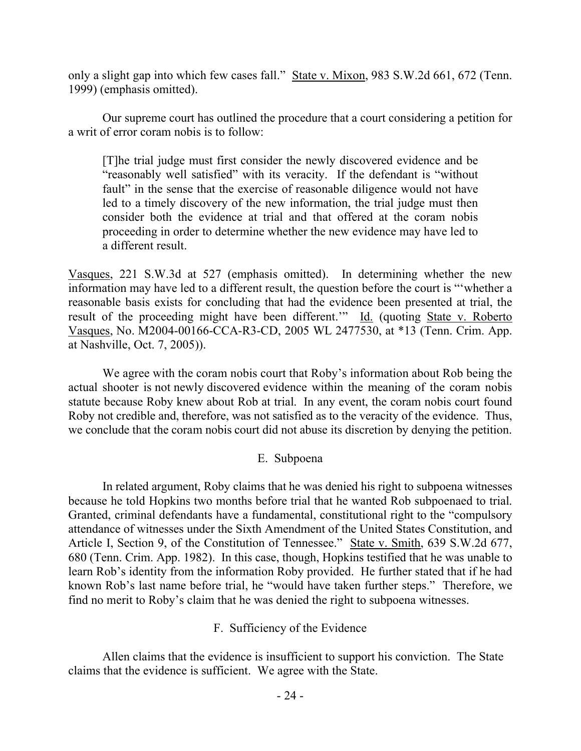only a slight gap into which few cases fall." State v. Mixon, 983 S.W.2d 661, 672 (Tenn. 1999) (emphasis omitted).

Our supreme court has outlined the procedure that a court considering a petition for a writ of error coram nobis is to follow:

[T]he trial judge must first consider the newly discovered evidence and be "reasonably well satisfied" with its veracity. If the defendant is "without fault" in the sense that the exercise of reasonable diligence would not have led to a timely discovery of the new information, the trial judge must then consider both the evidence at trial and that offered at the coram nobis proceeding in order to determine whether the new evidence may have led to a different result.

Vasques, 221 S.W.3d at 527 (emphasis omitted). In determining whether the new information may have led to a different result, the question before the court is "'whether a reasonable basis exists for concluding that had the evidence been presented at trial, the result of the proceeding might have been different.'" Id. (quoting State v. Roberto Vasques, No. M2004-00166-CCA-R3-CD, 2005 WL 2477530, at \*13 (Tenn. Crim. App. at Nashville, Oct. 7, 2005)).

We agree with the coram nobis court that Roby's information about Rob being the actual shooter is not newly discovered evidence within the meaning of the coram nobis statute because Roby knew about Rob at trial. In any event, the coram nobis court found Roby not credible and, therefore, was not satisfied as to the veracity of the evidence. Thus, we conclude that the coram nobis court did not abuse its discretion by denying the petition.

### E. Subpoena

In related argument, Roby claims that he was denied his right to subpoena witnesses because he told Hopkins two months before trial that he wanted Rob subpoenaed to trial. Granted, criminal defendants have a fundamental, constitutional right to the "compulsory attendance of witnesses under the Sixth Amendment of the United States Constitution, and Article I, Section 9, of the Constitution of Tennessee." State v. Smith, 639 S.W.2d 677, 680 (Tenn. Crim. App. 1982). In this case, though, Hopkins testified that he was unable to learn Rob's identity from the information Roby provided. He further stated that if he had known Rob's last name before trial, he "would have taken further steps." Therefore, we find no merit to Roby's claim that he was denied the right to subpoena witnesses.

F. Sufficiency of the Evidence

Allen claims that the evidence is insufficient to support his conviction. The State claims that the evidence is sufficient. We agree with the State.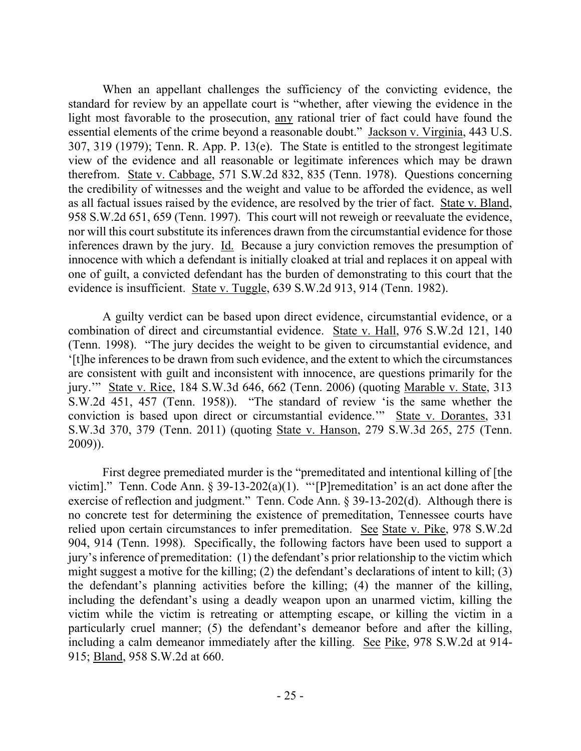When an appellant challenges the sufficiency of the convicting evidence, the standard for review by an appellate court is "whether, after viewing the evidence in the light most favorable to the prosecution, any rational trier of fact could have found the essential elements of the crime beyond a reasonable doubt." Jackson v. Virginia, 443 U.S. 307, 319 (1979); Tenn. R. App. P. 13(e). The State is entitled to the strongest legitimate view of the evidence and all reasonable or legitimate inferences which may be drawn therefrom. State v. Cabbage, 571 S.W.2d 832, 835 (Tenn. 1978). Questions concerning the credibility of witnesses and the weight and value to be afforded the evidence, as well as all factual issues raised by the evidence, are resolved by the trier of fact. State v. Bland, 958 S.W.2d 651, 659 (Tenn. 1997). This court will not reweigh or reevaluate the evidence, nor will this court substitute its inferences drawn from the circumstantial evidence for those inferences drawn by the jury. Id. Because a jury conviction removes the presumption of innocence with which a defendant is initially cloaked at trial and replaces it on appeal with one of guilt, a convicted defendant has the burden of demonstrating to this court that the evidence is insufficient. State v. Tuggle, 639 S.W.2d 913, 914 (Tenn. 1982).

A guilty verdict can be based upon direct evidence, circumstantial evidence, or a combination of direct and circumstantial evidence. State v. Hall, 976 S.W.2d 121, 140 (Tenn. 1998). "The jury decides the weight to be given to circumstantial evidence, and '[t]he inferences to be drawn from such evidence, and the extent to which the circumstances are consistent with guilt and inconsistent with innocence, are questions primarily for the jury.'" State v. Rice, 184 S.W.3d 646, 662 (Tenn. 2006) (quoting Marable v. State, 313 S.W.2d 451, 457 (Tenn. 1958)). "The standard of review 'is the same whether the conviction is based upon direct or circumstantial evidence.'" State v. Dorantes, 331 S.W.3d 370, 379 (Tenn. 2011) (quoting State v. Hanson, 279 S.W.3d 265, 275 (Tenn. 2009)).

First degree premediated murder is the "premeditated and intentional killing of [the victim]." Tenn. Code Ann. § 39-13-202(a)(1). ""[P]remeditation' is an act done after the exercise of reflection and judgment." Tenn. Code Ann. § 39-13-202(d). Although there is no concrete test for determining the existence of premeditation, Tennessee courts have relied upon certain circumstances to infer premeditation. See State v. Pike, 978 S.W.2d 904, 914 (Tenn. 1998). Specifically, the following factors have been used to support a jury's inference of premeditation: (1) the defendant's prior relationship to the victim which might suggest a motive for the killing; (2) the defendant's declarations of intent to kill; (3) the defendant's planning activities before the killing; (4) the manner of the killing, including the defendant's using a deadly weapon upon an unarmed victim, killing the victim while the victim is retreating or attempting escape, or killing the victim in a particularly cruel manner; (5) the defendant's demeanor before and after the killing, including a calm demeanor immediately after the killing. See Pike, 978 S.W.2d at 914- 915; Bland, 958 S.W.2d at 660.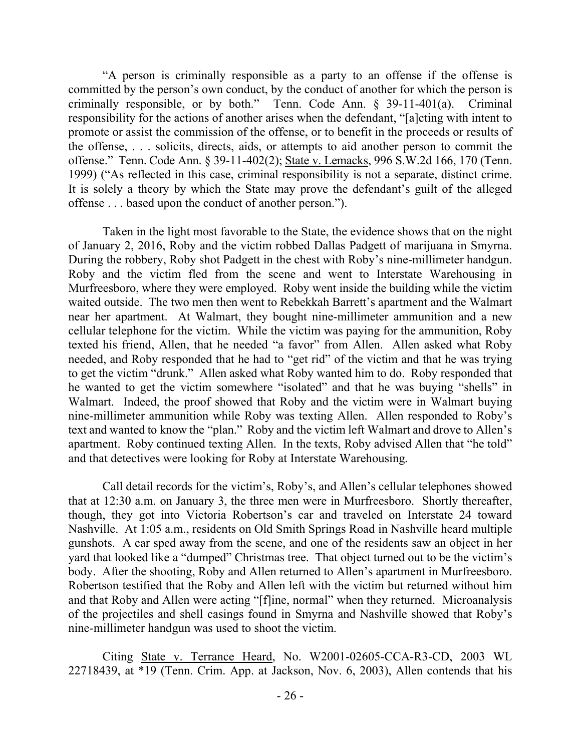"A person is criminally responsible as a party to an offense if the offense is committed by the person's own conduct, by the conduct of another for which the person is criminally responsible, or by both." Tenn. Code Ann. § 39-11-401(a). Criminal responsibility for the actions of another arises when the defendant, "[a]cting with intent to promote or assist the commission of the offense, or to benefit in the proceeds or results of the offense, . . . solicits, directs, aids, or attempts to aid another person to commit the offense." Tenn. Code Ann. § 39-11-402(2); State v. Lemacks, 996 S.W.2d 166, 170 (Tenn. 1999) ("As reflected in this case, criminal responsibility is not a separate, distinct crime. It is solely a theory by which the State may prove the defendant's guilt of the alleged offense . . . based upon the conduct of another person.").

Taken in the light most favorable to the State, the evidence shows that on the night of January 2, 2016, Roby and the victim robbed Dallas Padgett of marijuana in Smyrna. During the robbery, Roby shot Padgett in the chest with Roby's nine-millimeter handgun. Roby and the victim fled from the scene and went to Interstate Warehousing in Murfreesboro, where they were employed. Roby went inside the building while the victim waited outside. The two men then went to Rebekkah Barrett's apartment and the Walmart near her apartment. At Walmart, they bought nine-millimeter ammunition and a new cellular telephone for the victim. While the victim was paying for the ammunition, Roby texted his friend, Allen, that he needed "a favor" from Allen. Allen asked what Roby needed, and Roby responded that he had to "get rid" of the victim and that he was trying to get the victim "drunk." Allen asked what Roby wanted him to do. Roby responded that he wanted to get the victim somewhere "isolated" and that he was buying "shells" in Walmart. Indeed, the proof showed that Roby and the victim were in Walmart buying nine-millimeter ammunition while Roby was texting Allen. Allen responded to Roby's text and wanted to know the "plan." Roby and the victim left Walmart and drove to Allen's apartment. Roby continued texting Allen. In the texts, Roby advised Allen that "he told" and that detectives were looking for Roby at Interstate Warehousing.

Call detail records for the victim's, Roby's, and Allen's cellular telephones showed that at 12:30 a.m. on January 3, the three men were in Murfreesboro. Shortly thereafter, though, they got into Victoria Robertson's car and traveled on Interstate 24 toward Nashville. At 1:05 a.m., residents on Old Smith Springs Road in Nashville heard multiple gunshots. A car sped away from the scene, and one of the residents saw an object in her yard that looked like a "dumped" Christmas tree. That object turned out to be the victim's body. After the shooting, Roby and Allen returned to Allen's apartment in Murfreesboro. Robertson testified that the Roby and Allen left with the victim but returned without him and that Roby and Allen were acting "[f]ine, normal" when they returned. Microanalysis of the projectiles and shell casings found in Smyrna and Nashville showed that Roby's nine-millimeter handgun was used to shoot the victim.

Citing State v. Terrance Heard, No. W2001-02605-CCA-R3-CD, 2003 WL 22718439, at \*19 (Tenn. Crim. App. at Jackson, Nov. 6, 2003), Allen contends that his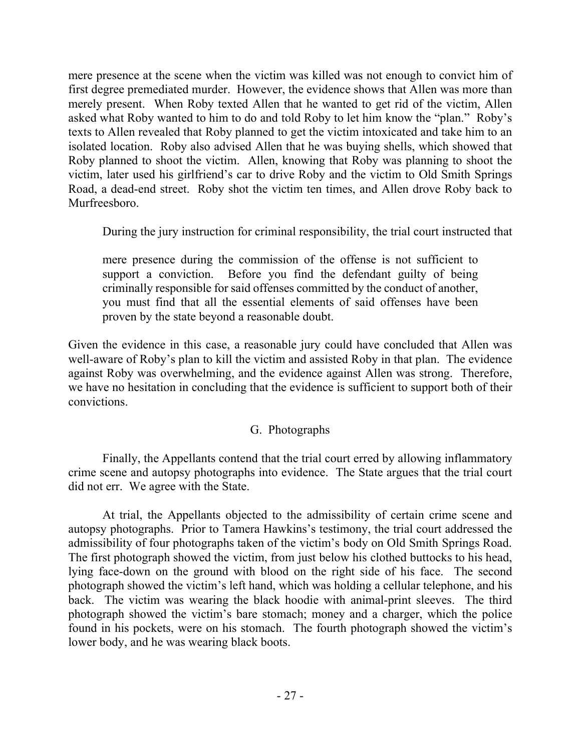mere presence at the scene when the victim was killed was not enough to convict him of first degree premediated murder. However, the evidence shows that Allen was more than merely present. When Roby texted Allen that he wanted to get rid of the victim, Allen asked what Roby wanted to him to do and told Roby to let him know the "plan." Roby's texts to Allen revealed that Roby planned to get the victim intoxicated and take him to an isolated location. Roby also advised Allen that he was buying shells, which showed that Roby planned to shoot the victim. Allen, knowing that Roby was planning to shoot the victim, later used his girlfriend's car to drive Roby and the victim to Old Smith Springs Road, a dead-end street. Roby shot the victim ten times, and Allen drove Roby back to Murfreesboro.

During the jury instruction for criminal responsibility, the trial court instructed that

mere presence during the commission of the offense is not sufficient to support a conviction. Before you find the defendant guilty of being criminally responsible for said offenses committed by the conduct of another, you must find that all the essential elements of said offenses have been proven by the state beyond a reasonable doubt.

Given the evidence in this case, a reasonable jury could have concluded that Allen was well-aware of Roby's plan to kill the victim and assisted Roby in that plan. The evidence against Roby was overwhelming, and the evidence against Allen was strong. Therefore, we have no hesitation in concluding that the evidence is sufficient to support both of their convictions.

# G. Photographs

Finally, the Appellants contend that the trial court erred by allowing inflammatory crime scene and autopsy photographs into evidence. The State argues that the trial court did not err. We agree with the State.

At trial, the Appellants objected to the admissibility of certain crime scene and autopsy photographs. Prior to Tamera Hawkins's testimony, the trial court addressed the admissibility of four photographs taken of the victim's body on Old Smith Springs Road. The first photograph showed the victim, from just below his clothed buttocks to his head, lying face-down on the ground with blood on the right side of his face. The second photograph showed the victim's left hand, which was holding a cellular telephone, and his back. The victim was wearing the black hoodie with animal-print sleeves. The third photograph showed the victim's bare stomach; money and a charger, which the police found in his pockets, were on his stomach. The fourth photograph showed the victim's lower body, and he was wearing black boots.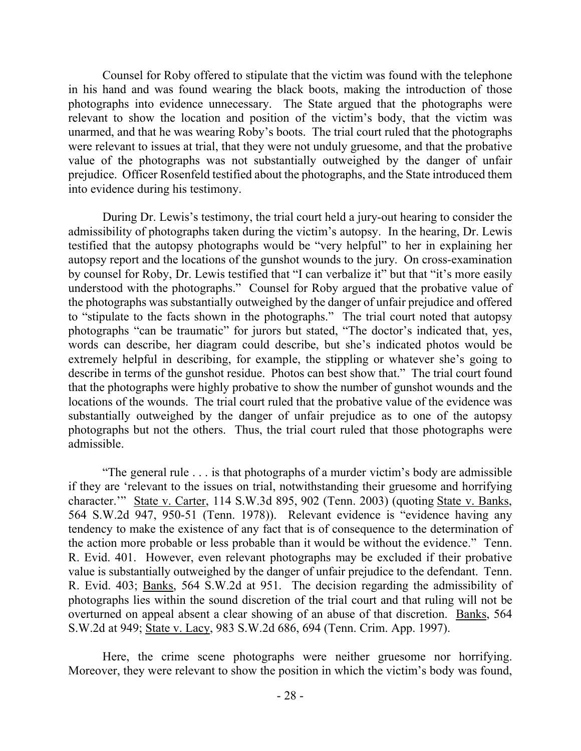Counsel for Roby offered to stipulate that the victim was found with the telephone in his hand and was found wearing the black boots, making the introduction of those photographs into evidence unnecessary. The State argued that the photographs were relevant to show the location and position of the victim's body, that the victim was unarmed, and that he was wearing Roby's boots. The trial court ruled that the photographs were relevant to issues at trial, that they were not unduly gruesome, and that the probative value of the photographs was not substantially outweighed by the danger of unfair prejudice. Officer Rosenfeld testified about the photographs, and the State introduced them into evidence during his testimony.

During Dr. Lewis's testimony, the trial court held a jury-out hearing to consider the admissibility of photographs taken during the victim's autopsy. In the hearing, Dr. Lewis testified that the autopsy photographs would be "very helpful" to her in explaining her autopsy report and the locations of the gunshot wounds to the jury. On cross-examination by counsel for Roby, Dr. Lewis testified that "I can verbalize it" but that "it's more easily understood with the photographs." Counsel for Roby argued that the probative value of the photographs was substantially outweighed by the danger of unfair prejudice and offered to "stipulate to the facts shown in the photographs." The trial court noted that autopsy photographs "can be traumatic" for jurors but stated, "The doctor's indicated that, yes, words can describe, her diagram could describe, but she's indicated photos would be extremely helpful in describing, for example, the stippling or whatever she's going to describe in terms of the gunshot residue. Photos can best show that." The trial court found that the photographs were highly probative to show the number of gunshot wounds and the locations of the wounds. The trial court ruled that the probative value of the evidence was substantially outweighed by the danger of unfair prejudice as to one of the autopsy photographs but not the others. Thus, the trial court ruled that those photographs were admissible.

"The general rule . . . is that photographs of a murder victim's body are admissible if they are 'relevant to the issues on trial, notwithstanding their gruesome and horrifying character.'" State v. Carter, 114 S.W.3d 895, 902 (Tenn. 2003) (quoting State v. Banks, 564 S.W.2d 947, 950-51 (Tenn. 1978)). Relevant evidence is "evidence having any tendency to make the existence of any fact that is of consequence to the determination of the action more probable or less probable than it would be without the evidence." Tenn. R. Evid. 401. However, even relevant photographs may be excluded if their probative value is substantially outweighed by the danger of unfair prejudice to the defendant. Tenn. R. Evid. 403; Banks, 564 S.W.2d at 951. The decision regarding the admissibility of photographs lies within the sound discretion of the trial court and that ruling will not be overturned on appeal absent a clear showing of an abuse of that discretion. Banks, 564 S.W.2d at 949; State v. Lacy, 983 S.W.2d 686, 694 (Tenn. Crim. App. 1997).

Here, the crime scene photographs were neither gruesome nor horrifying. Moreover, they were relevant to show the position in which the victim's body was found,